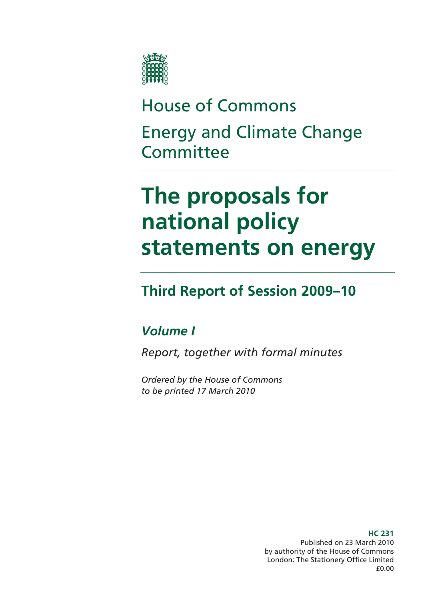

# House of Commons Energy and Climate Change **Committee**

# **The proposals for national policy statements on energy**

# **Third Report of Session 2009–10**

### *Volume I*

*Report, together with formal minutes* 

*Ordered by the House of Commons to be printed 17 March 2010* 

> Published on 23 March 2010 by authority of the House of Commons London: The Stationery Office Limited £0.00

#### **HC 231**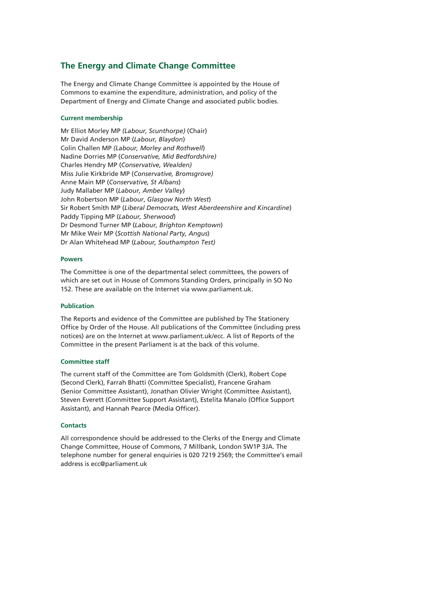#### **The Energy and Climate Change Committee**

The Energy and Climate Change Committee is appointed by the House of Commons to examine the expenditure, administration, and policy of the Department of Energy and Climate Change and associated public bodies.

#### **Current membership**

Mr Elliot Morley MP *(Labour, Scunthorpe)* (Chair) Mr David Anderson MP (*Labour, Blaydon*) Colin Challen MP *(Labour, Morley and Rothwell*) Nadine Dorries MP (*Conservative, Mid Bedfordshire)* Charles Hendry MP (*Conservative, Wealden)* Miss Julie Kirkbride MP (*Conservative, Bromsgrove)* Anne Main MP (*Conservative, St Albans*) Judy Mallaber MP (*Labour, Amber Valley*) John Robertson MP (*Labour*, *Glasgow North West*) Sir Robert Smith MP (*Liberal Democrats, West Aberdeenshire and Kincardine*) Paddy Tipping MP (*Labour, Sherwood*) Dr Desmond Turner MP (*Labour, Brighton Kemptown*) Mr Mike Weir MP (*Scottish National Party, Angus*) Dr Alan Whitehead MP (*Labour, Southampton Test)*

#### **Powers**

The Committee is one of the departmental select committees, the powers of which are set out in House of Commons Standing Orders, principally in SO No 152. These are available on the Internet via www.parliament.uk.

#### **Publication**

The Reports and evidence of the Committee are published by The Stationery Office by Order of the House. All publications of the Committee (including press notices) are on the Internet at www.parliament.uk/ecc. A list of Reports of the Committee in the present Parliament is at the back of this volume.

#### **Committee staff**

The current staff of the Committee are Tom Goldsmith (Clerk), Robert Cope (Second Clerk), Farrah Bhatti (Committee Specialist), Francene Graham (Senior Committee Assistant), Jonathan Olivier Wright (Committee Assistant), Steven Everett (Committee Support Assistant), Estelita Manalo (Office Support Assistant), and Hannah Pearce (Media Officer).

#### **Contacts**

All correspondence should be addressed to the Clerks of the Energy and Climate Change Committee, House of Commons, 7 Millbank, London SW1P 3JA. The telephone number for general enquiries is 020 7219 2569; the Committee's email address is ecc@parliament.uk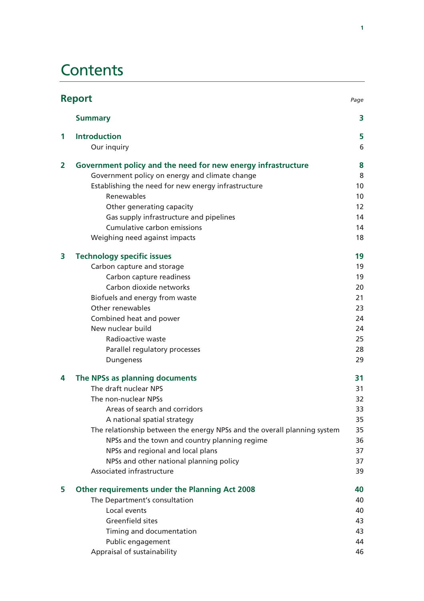### **Contents**

|                | <b>Report</b><br>Page                                                    |    |
|----------------|--------------------------------------------------------------------------|----|
|                | <b>Summary</b>                                                           | 3  |
| 1              | <b>Introduction</b>                                                      | 5  |
|                | Our inquiry                                                              | 6  |
| $\overline{2}$ | Government policy and the need for new energy infrastructure             | 8  |
|                | Government policy on energy and climate change                           | 8  |
|                | Establishing the need for new energy infrastructure                      | 10 |
|                | Renewables                                                               | 10 |
|                | Other generating capacity                                                | 12 |
|                | Gas supply infrastructure and pipelines                                  | 14 |
|                | Cumulative carbon emissions                                              | 14 |
|                | Weighing need against impacts                                            | 18 |
| 3              | <b>Technology specific issues</b>                                        | 19 |
|                | Carbon capture and storage                                               | 19 |
|                | Carbon capture readiness                                                 | 19 |
|                | Carbon dioxide networks                                                  | 20 |
|                | Biofuels and energy from waste                                           | 21 |
|                | Other renewables                                                         | 23 |
|                | Combined heat and power                                                  | 24 |
|                | New nuclear build                                                        | 24 |
|                | Radioactive waste                                                        | 25 |
|                | Parallel regulatory processes                                            | 28 |
|                | <b>Dungeness</b>                                                         | 29 |
| 4              | The NPSs as planning documents                                           | 31 |
|                | The draft nuclear NPS                                                    | 31 |
|                | The non-nuclear NPSs                                                     | 32 |
|                | Areas of search and corridors                                            | 33 |
|                | A national spatial strategy                                              | 35 |
|                | The relationship between the energy NPSs and the overall planning system | 35 |
|                | NPSs and the town and country planning regime                            | 36 |
|                | NPSs and regional and local plans                                        | 37 |
|                | NPSs and other national planning policy                                  | 37 |
|                | Associated infrastructure                                                | 39 |
| 5              | Other requirements under the Planning Act 2008                           | 40 |
|                | The Department's consultation                                            | 40 |
|                | Local events                                                             | 40 |
|                | <b>Greenfield sites</b>                                                  | 43 |
|                | Timing and documentation                                                 | 43 |
|                | Public engagement                                                        | 44 |
|                | Appraisal of sustainability                                              | 46 |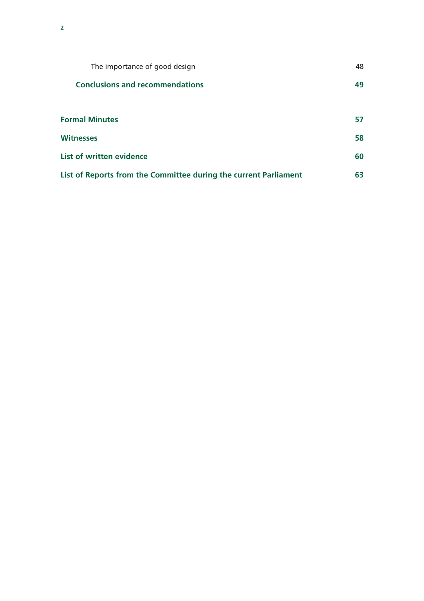| The importance of good design                                    | 48 |
|------------------------------------------------------------------|----|
| <b>Conclusions and recommendations</b>                           | 49 |
|                                                                  |    |
| <b>Formal Minutes</b>                                            | 57 |
| <b>Witnesses</b>                                                 | 58 |
| <b>List of written evidence</b>                                  | 60 |
| List of Reports from the Committee during the current Parliament | 63 |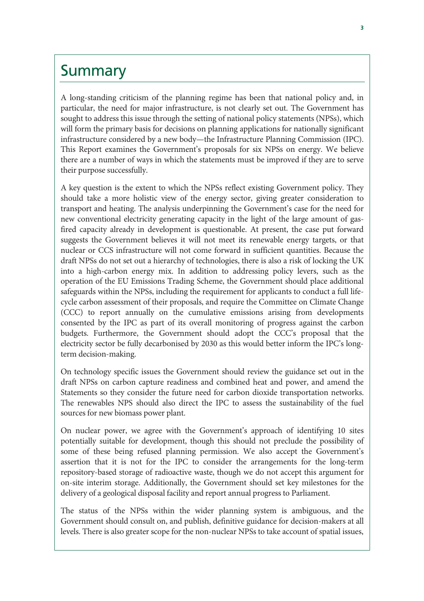### **Summary**

A long-standing criticism of the planning regime has been that national policy and, in particular, the need for major infrastructure, is not clearly set out. The Government has sought to address this issue through the setting of national policy statements (NPSs), which will form the primary basis for decisions on planning applications for nationally significant infrastructure considered by a new body—the Infrastructure Planning Commission (IPC). This Report examines the Government's proposals for six NPSs on energy. We believe there are a number of ways in which the statements must be improved if they are to serve their purpose successfully.

A key question is the extent to which the NPSs reflect existing Government policy. They should take a more holistic view of the energy sector, giving greater consideration to transport and heating. The analysis underpinning the Government's case for the need for new conventional electricity generating capacity in the light of the large amount of gasfired capacity already in development is questionable. At present, the case put forward suggests the Government believes it will not meet its renewable energy targets, or that nuclear or CCS infrastructure will not come forward in sufficient quantities. Because the draft NPSs do not set out a hierarchy of technologies, there is also a risk of locking the UK into a high-carbon energy mix. In addition to addressing policy levers, such as the operation of the EU Emissions Trading Scheme, the Government should place additional safeguards within the NPSs, including the requirement for applicants to conduct a full lifecycle carbon assessment of their proposals, and require the Committee on Climate Change (CCC) to report annually on the cumulative emissions arising from developments consented by the IPC as part of its overall monitoring of progress against the carbon budgets. Furthermore, the Government should adopt the CCC's proposal that the electricity sector be fully decarbonised by 2030 as this would better inform the IPC's longterm decision-making.

On technology specific issues the Government should review the guidance set out in the draft NPSs on carbon capture readiness and combined heat and power, and amend the Statements so they consider the future need for carbon dioxide transportation networks. The renewables NPS should also direct the IPC to assess the sustainability of the fuel sources for new biomass power plant.

On nuclear power, we agree with the Government's approach of identifying 10 sites potentially suitable for development, though this should not preclude the possibility of some of these being refused planning permission. We also accept the Government's assertion that it is not for the IPC to consider the arrangements for the long-term repository-based storage of radioactive waste, though we do not accept this argument for on-site interim storage. Additionally, the Government should set key milestones for the delivery of a geological disposal facility and report annual progress to Parliament.

The status of the NPSs within the wider planning system is ambiguous, and the Government should consult on, and publish, definitive guidance for decision-makers at all levels. There is also greater scope for the non-nuclear NPSs to take account of spatial issues,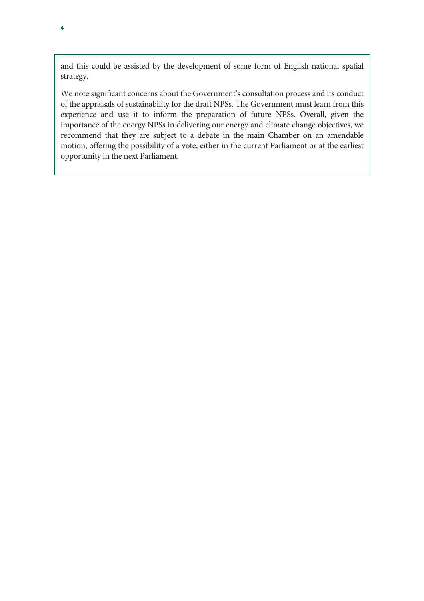and this could be assisted by the development of some form of English national spatial strategy.

We note significant concerns about the Government's consultation process and its conduct of the appraisals of sustainability for the draft NPSs. The Government must learn from this experience and use it to inform the preparation of future NPSs. Overall, given the importance of the energy NPSs in delivering our energy and climate change objectives, we recommend that they are subject to a debate in the main Chamber on an amendable motion, offering the possibility of a vote, either in the current Parliament or at the earliest opportunity in the next Parliament.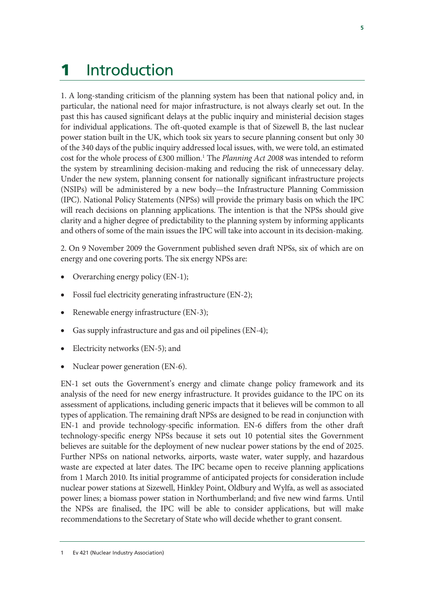# 1 Introduction

1. A long-standing criticism of the planning system has been that national policy and, in particular, the national need for major infrastructure, is not always clearly set out. In the past this has caused significant delays at the public inquiry and ministerial decision stages for individual applications. The oft-quoted example is that of Sizewell B, the last nuclear power station built in the UK, which took six years to secure planning consent but only 30 of the 340 days of the public inquiry addressed local issues, with, we were told, an estimated cost for the whole process of £300 million.<sup>1</sup> The *Planning Act 2008* was intended to reform the system by streamlining decision-making and reducing the risk of unnecessary delay. Under the new system, planning consent for nationally significant infrastructure projects (NSIPs) will be administered by a new body—the Infrastructure Planning Commission (IPC). National Policy Statements (NPSs) will provide the primary basis on which the IPC will reach decisions on planning applications. The intention is that the NPSs should give clarity and a higher degree of predictability to the planning system by informing applicants and others of some of the main issues the IPC will take into account in its decision-making.

2. On 9 November 2009 the Government published seven draft NPSs, six of which are on energy and one covering ports. The six energy NPSs are:

- Overarching energy policy (EN-1);
- Fossil fuel electricity generating infrastructure (EN-2);
- Renewable energy infrastructure (EN-3);
- Gas supply infrastructure and gas and oil pipelines (EN-4);
- Electricity networks (EN-5); and
- Nuclear power generation (EN-6).

EN-1 set outs the Government's energy and climate change policy framework and its analysis of the need for new energy infrastructure. It provides guidance to the IPC on its assessment of applications, including generic impacts that it believes will be common to all types of application. The remaining draft NPSs are designed to be read in conjunction with EN-1 and provide technology-specific information. EN-6 differs from the other draft technology-specific energy NPSs because it sets out 10 potential sites the Government believes are suitable for the deployment of new nuclear power stations by the end of 2025. Further NPSs on national networks, airports, waste water, water supply, and hazardous waste are expected at later dates. The IPC became open to receive planning applications from 1 March 2010. Its initial programme of anticipated projects for consideration include nuclear power stations at Sizewell, Hinkley Point, Oldbury and Wylfa, as well as associated power lines; a biomass power station in Northumberland; and five new wind farms. Until the NPSs are finalised, the IPC will be able to consider applications, but will make recommendations to the Secretary of State who will decide whether to grant consent.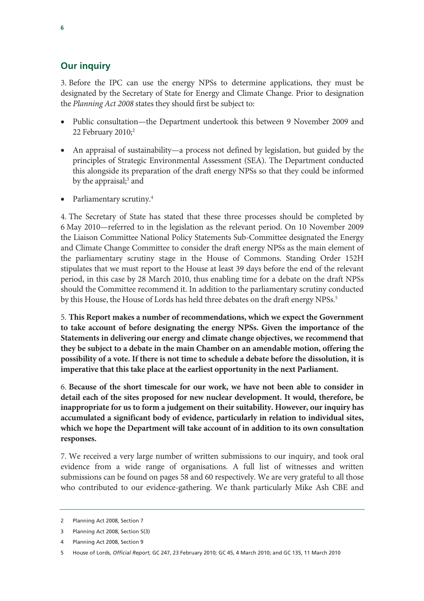#### **Our inquiry**

3. Before the IPC can use the energy NPSs to determine applications, they must be designated by the Secretary of State for Energy and Climate Change. Prior to designation the *Planning Act 2008* states they should first be subject to:

- Public consultation—the Department undertook this between 9 November 2009 and 22 February 2010; $^2$
- An appraisal of sustainability—a process not defined by legislation, but guided by the principles of Strategic Environmental Assessment (SEA). The Department conducted this alongside its preparation of the draft energy NPSs so that they could be informed by the appraisal;<sup>3</sup> and
- Parliamentary scrutiny.<sup>4</sup>

4. The Secretary of State has stated that these three processes should be completed by 6 May 2010—referred to in the legislation as the relevant period. On 10 November 2009 the Liaison Committee National Policy Statements Sub-Committee designated the Energy and Climate Change Committee to consider the draft energy NPSs as the main element of the parliamentary scrutiny stage in the House of Commons. Standing Order 152H stipulates that we must report to the House at least 39 days before the end of the relevant period, in this case by 28 March 2010, thus enabling time for a debate on the draft NPSs should the Committee recommend it. In addition to the parliamentary scrutiny conducted by this House, the House of Lords has held three debates on the draft energy NPSs.<sup>5</sup>

5. **This Report makes a number of recommendations, which we expect the Government to take account of before designating the energy NPSs. Given the importance of the Statements in delivering our energy and climate change objectives, we recommend that they be subject to a debate in the main Chamber on an amendable motion, offering the possibility of a vote. If there is not time to schedule a debate before the dissolution, it is imperative that this take place at the earliest opportunity in the next Parliament.**

6. **Because of the short timescale for our work, we have not been able to consider in detail each of the sites proposed for new nuclear development. It would, therefore, be inappropriate for us to form a judgement on their suitability. However, our inquiry has accumulated a significant body of evidence, particularly in relation to individual sites, which we hope the Department will take account of in addition to its own consultation responses.** 

7. We received a very large number of written submissions to our inquiry, and took oral evidence from a wide range of organisations. A full list of witnesses and written submissions can be found on pages 58 and 60 respectively. We are very grateful to all those who contributed to our evidence-gathering. We thank particularly Mike Ash CBE and

<sup>2</sup> Planning Act 2008, Section 7

<sup>3</sup> Planning Act 2008, Section 5(3)

<sup>4</sup> Planning Act 2008, Section 9

<sup>5</sup> House of Lords, *Official Report*, GC 247, 23 February 2010; GC 45, 4 March 2010; and GC 135, 11 March 2010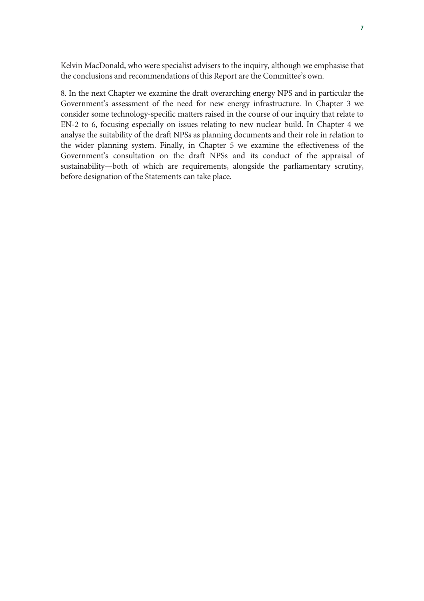Kelvin MacDonald, who were specialist advisers to the inquiry, although we emphasise that the conclusions and recommendations of this Report are the Committee's own.

8. In the next Chapter we examine the draft overarching energy NPS and in particular the Government's assessment of the need for new energy infrastructure. In Chapter 3 we consider some technology-specific matters raised in the course of our inquiry that relate to EN-2 to 6, focusing especially on issues relating to new nuclear build. In Chapter 4 we analyse the suitability of the draft NPSs as planning documents and their role in relation to the wider planning system. Finally, in Chapter 5 we examine the effectiveness of the Government's consultation on the draft NPSs and its conduct of the appraisal of sustainability—both of which are requirements, alongside the parliamentary scrutiny, before designation of the Statements can take place.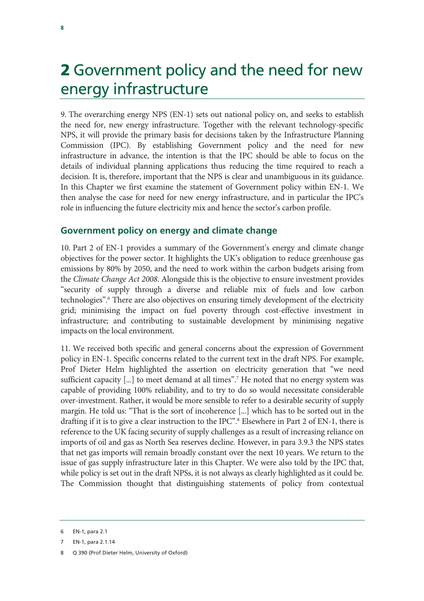# 2 Government policy and the need for new energy infrastructure

9. The overarching energy NPS (EN-1) sets out national policy on, and seeks to establish the need for, new energy infrastructure. Together with the relevant technology-specific NPS, it will provide the primary basis for decisions taken by the Infrastructure Planning Commission (IPC). By establishing Government policy and the need for new infrastructure in advance, the intention is that the IPC should be able to focus on the details of individual planning applications thus reducing the time required to reach a decision. It is, therefore, important that the NPS is clear and unambiguous in its guidance. In this Chapter we first examine the statement of Government policy within EN-1. We then analyse the case for need for new energy infrastructure, and in particular the IPC's role in influencing the future electricity mix and hence the sector's carbon profile.

#### **Government policy on energy and climate change**

10. Part 2 of EN-1 provides a summary of the Government's energy and climate change objectives for the power sector. It highlights the UK's obligation to reduce greenhouse gas emissions by 80% by 2050, and the need to work within the carbon budgets arising from the *Climate Change Act 2008*. Alongside this is the objective to ensure investment provides "security of supply through a diverse and reliable mix of fuels and low carbon technologies".<sup>6</sup> There are also objectives on ensuring timely development of the electricity grid; minimising the impact on fuel poverty through cost-effective investment in infrastructure; and contributing to sustainable development by minimising negative impacts on the local environment.

11. We received both specific and general concerns about the expression of Government policy in EN-1. Specific concerns related to the current text in the draft NPS. For example, Prof Dieter Helm highlighted the assertion on electricity generation that "we need sufficient capacity [...] to meet demand at all times".<sup>7</sup> He noted that no energy system was capable of providing 100% reliability, and to try to do so would necessitate considerable over-investment. Rather, it would be more sensible to refer to a desirable security of supply margin. He told us: "That is the sort of incoherence [...] which has to be sorted out in the drafting if it is to give a clear instruction to the IPC".<sup>8</sup> Elsewhere in Part 2 of EN-1, there is reference to the UK facing security of supply challenges as a result of increasing reliance on imports of oil and gas as North Sea reserves decline. However, in para 3.9.3 the NPS states that net gas imports will remain broadly constant over the next 10 years. We return to the issue of gas supply infrastructure later in this Chapter. We were also told by the IPC that, while policy is set out in the draft NPSs, it is not always as clearly highlighted as it could be. The Commission thought that distinguishing statements of policy from contextual

<sup>6</sup> EN-1, para 2.1

<sup>7</sup> EN-1, para 2.1.14

<sup>8</sup> Q 390 (Prof Dieter Helm, University of Oxford)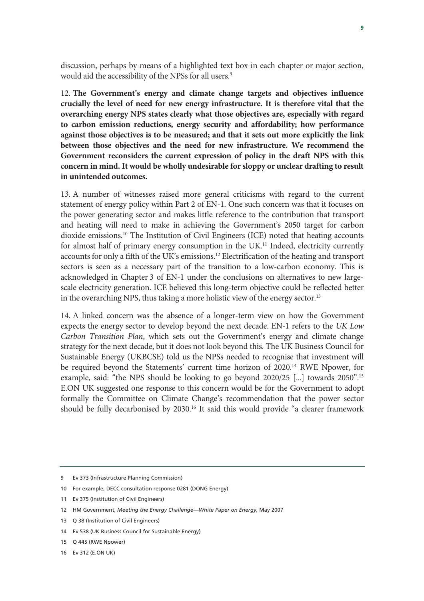discussion, perhaps by means of a highlighted text box in each chapter or major section, would aid the accessibility of the NPSs for all users.<sup>9</sup>

12. **The Government's energy and climate change targets and objectives influence crucially the level of need for new energy infrastructure. It is therefore vital that the overarching energy NPS states clearly what those objectives are, especially with regard to carbon emission reductions, energy security and affordability; how performance against those objectives is to be measured; and that it sets out more explicitly the link between those objectives and the need for new infrastructure. We recommend the Government reconsiders the current expression of policy in the draft NPS with this concern in mind. It would be wholly undesirable for sloppy or unclear drafting to result in unintended outcomes.**

13. A number of witnesses raised more general criticisms with regard to the current statement of energy policy within Part 2 of EN-1. One such concern was that it focuses on the power generating sector and makes little reference to the contribution that transport and heating will need to make in achieving the Government's 2050 target for carbon dioxide emissions.10 The Institution of Civil Engineers (ICE) noted that heating accounts for almost half of primary energy consumption in the UK.<sup>11</sup> Indeed, electricity currently accounts for only a fifth of the UK's emissions.<sup>12</sup> Electrification of the heating and transport sectors is seen as a necessary part of the transition to a low-carbon economy. This is acknowledged in Chapter 3 of EN-1 under the conclusions on alternatives to new largescale electricity generation. ICE believed this long-term objective could be reflected better in the overarching NPS, thus taking a more holistic view of the energy sector.<sup>13</sup>

14. A linked concern was the absence of a longer-term view on how the Government expects the energy sector to develop beyond the next decade. EN-1 refers to the *UK Low Carbon Transition Plan*, which sets out the Government's energy and climate change strategy for the next decade, but it does not look beyond this. The UK Business Council for Sustainable Energy (UKBCSE) told us the NPSs needed to recognise that investment will be required beyond the Statements' current time horizon of 2020.14 RWE Npower, for example, said: "the NPS should be looking to go beyond 2020/25 [...] towards 2050".15 E.ON UK suggested one response to this concern would be for the Government to adopt formally the Committee on Climate Change's recommendation that the power sector should be fully decarbonised by 2030.<sup>16</sup> It said this would provide "a clearer framework

<sup>9</sup> Ev 373 (Infrastructure Planning Commission)

<sup>10</sup> For example, DECC consultation response 0281 (DONG Energy)

<sup>11</sup> Ev 375 (Institution of Civil Engineers)

<sup>12</sup> HM Government, *Meeting the Energy Challenge—White Paper on Energy*, May 2007

<sup>13</sup> Q 38 (Institution of Civil Engineers)

<sup>14</sup> Ev 538 (UK Business Council for Sustainable Energy)

<sup>15</sup> Q 445 (RWE Npower)

<sup>16</sup> Ev 312 (E.ON UK)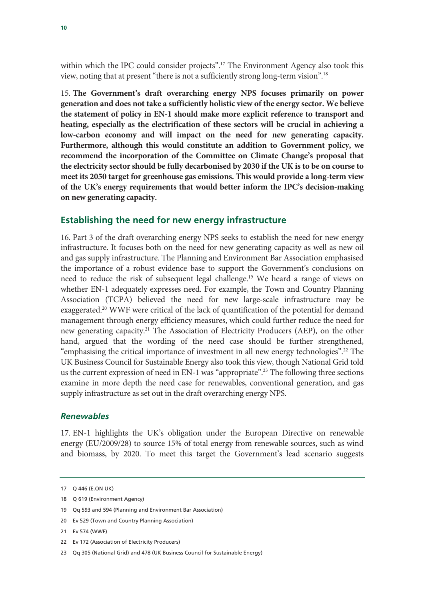within which the IPC could consider projects".17 The Environment Agency also took this view, noting that at present "there is not a sufficiently strong long-term vision".18

15. **The Government's draft overarching energy NPS focuses primarily on power generation and does not take a sufficiently holistic view of the energy sector. We believe the statement of policy in EN-1 should make more explicit reference to transport and heating, especially as the electrification of these sectors will be crucial in achieving a low-carbon economy and will impact on the need for new generating capacity. Furthermore, although this would constitute an addition to Government policy, we recommend the incorporation of the Committee on Climate Change's proposal that the electricity sector should be fully decarbonised by 2030 if the UK is to be on course to meet its 2050 target for greenhouse gas emissions. This would provide a long-term view of the UK's energy requirements that would better inform the IPC's decision-making on new generating capacity.**

#### **Establishing the need for new energy infrastructure**

16. Part 3 of the draft overarching energy NPS seeks to establish the need for new energy infrastructure. It focuses both on the need for new generating capacity as well as new oil and gas supply infrastructure. The Planning and Environment Bar Association emphasised the importance of a robust evidence base to support the Government's conclusions on need to reduce the risk of subsequent legal challenge.19 We heard a range of views on whether EN-1 adequately expresses need. For example, the Town and Country Planning Association (TCPA) believed the need for new large-scale infrastructure may be exaggerated.<sup>20</sup> WWF were critical of the lack of quantification of the potential for demand management through energy efficiency measures, which could further reduce the need for new generating capacity.21 The Association of Electricity Producers (AEP), on the other hand, argued that the wording of the need case should be further strengthened, "emphasising the critical importance of investment in all new energy technologies".22 The UK Business Council for Sustainable Energy also took this view, though National Grid told us the current expression of need in EN-1 was "appropriate".<sup>23</sup> The following three sections examine in more depth the need case for renewables, conventional generation, and gas supply infrastructure as set out in the draft overarching energy NPS.

#### *Renewables*

17. EN-1 highlights the UK's obligation under the European Directive on renewable energy (EU/2009/28) to source 15% of total energy from renewable sources, such as wind and biomass, by 2020. To meet this target the Government's lead scenario suggests

<sup>17</sup> Q 446 (E.ON UK)

<sup>18</sup> Q 619 (Environment Agency)

<sup>19</sup> Qq 593 and 594 (Planning and Environment Bar Association)

<sup>20</sup> Ev 529 (Town and Country Planning Association)

<sup>21</sup> Ev 574 (WWF)

<sup>22</sup> Ev 172 (Association of Electricity Producers)

<sup>23</sup> Qq 305 (National Grid) and 478 (UK Business Council for Sustainable Energy)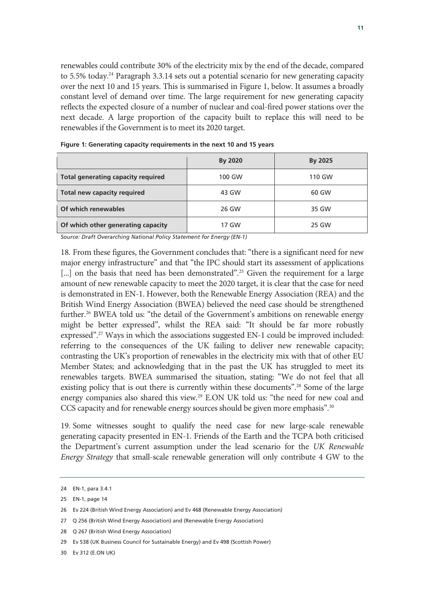renewables could contribute 30% of the electricity mix by the end of the decade, compared to 5.5% today.<sup>24</sup> Paragraph 3.3.14 sets out a potential scenario for new generating capacity over the next 10 and 15 years. This is summarised in Figure 1, below. It assumes a broadly constant level of demand over time. The large requirement for new generating capacity reflects the expected closure of a number of nuclear and coal-fired power stations over the next decade. A large proportion of the capacity built to replace this will need to be renewables if the Government is to meet its 2020 target.

|                                           | By 2020 | By 2025 |
|-------------------------------------------|---------|---------|
| <b>Total generating capacity required</b> | 100 GW  | 110 GW  |
| Total new capacity required               | 43 GW   | 60 GW   |
| Of which renewables                       | 26 GW   | 35 GW   |
| Of which other generating capacity        | 17 GW   | 25 GW   |

**Figure 1: Generating capacity requirements in the next 10 and 15 years** 

*Source: Draft Overarching National Policy Statement for Energy (EN-1)* 

18. From these figures, the Government concludes that: "there is a significant need for new major energy infrastructure" and that "the IPC should start its assessment of applications [...] on the basis that need has been demonstrated"<sup>25</sup>. Given the requirement for a large amount of new renewable capacity to meet the 2020 target, it is clear that the case for need is demonstrated in EN-1. However, both the Renewable Energy Association (REA) and the British Wind Energy Association (BWEA) believed the need case should be strengthened further.<sup>26</sup> BWEA told us: "the detail of the Government's ambitions on renewable energy might be better expressed", whilst the REA said: "It should be far more robustly expressed".<sup>27</sup> Ways in which the associations suggested EN-1 could be improved included: referring to the consequences of the UK failing to deliver new renewable capacity; contrasting the UK's proportion of renewables in the electricity mix with that of other EU Member States; and acknowledging that in the past the UK has struggled to meet its renewables targets. BWEA summarised the situation, stating: "We do not feel that all existing policy that is out there is currently within these documents".<sup>28</sup> Some of the large energy companies also shared this view.<sup>29</sup> E.ON UK told us: "the need for new coal and CCS capacity and for renewable energy sources should be given more emphasis".30

19. Some witnesses sought to qualify the need case for new large-scale renewable generating capacity presented in EN-1. Friends of the Earth and the TCPA both criticised the Department's current assumption under the lead scenario for the *UK Renewable Energy Strategy* that small-scale renewable generation will only contribute 4 GW to the

<sup>24</sup> EN-1, para 3.4.1

<sup>25</sup> EN-1, page 14

<sup>26</sup> Ev 224 (British Wind Energy Association) and Ev 468 (Renewable Energy Association)

<sup>27</sup> Q 256 (British Wind Energy Association) and (Renewable Energy Association)

<sup>28</sup> Q 267 (British Wind Energy Association)

<sup>29</sup> Ev 538 (UK Business Council for Sustainable Energy) and Ev 498 (Scottish Power)

<sup>30</sup> Ev 312 (E.ON UK)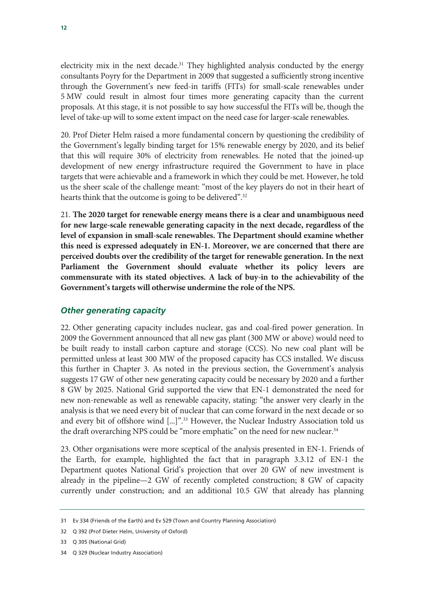electricity mix in the next decade.<sup>31</sup> They highlighted analysis conducted by the energy consultants Poyry for the Department in 2009 that suggested a sufficiently strong incentive through the Government's new feed-in tariffs (FITs) for small-scale renewables under 5 MW could result in almost four times more generating capacity than the current proposals. At this stage, it is not possible to say how successful the FITs will be, though the level of take-up will to some extent impact on the need case for larger-scale renewables.

20. Prof Dieter Helm raised a more fundamental concern by questioning the credibility of the Government's legally binding target for 15% renewable energy by 2020, and its belief that this will require 30% of electricity from renewables. He noted that the joined-up development of new energy infrastructure required the Government to have in place targets that were achievable and a framework in which they could be met. However, he told us the sheer scale of the challenge meant: "most of the key players do not in their heart of hearts think that the outcome is going to be delivered".<sup>32</sup>

21. **The 2020 target for renewable energy means there is a clear and unambiguous need for new large-scale renewable generating capacity in the next decade, regardless of the level of expansion in small-scale renewables. The Department should examine whether this need is expressed adequately in EN-1. Moreover, we are concerned that there are perceived doubts over the credibility of the target for renewable generation. In the next Parliament the Government should evaluate whether its policy levers are commensurate with its stated objectives. A lack of buy-in to the achievability of the Government's targets will otherwise undermine the role of the NPS.**

#### *Other generating capacity*

22. Other generating capacity includes nuclear, gas and coal-fired power generation. In 2009 the Government announced that all new gas plant (300 MW or above) would need to be built ready to install carbon capture and storage (CCS). No new coal plant will be permitted unless at least 300 MW of the proposed capacity has CCS installed. We discuss this further in Chapter 3. As noted in the previous section, the Government's analysis suggests 17 GW of other new generating capacity could be necessary by 2020 and a further 8 GW by 2025. National Grid supported the view that EN-1 demonstrated the need for new non-renewable as well as renewable capacity, stating: "the answer very clearly in the analysis is that we need every bit of nuclear that can come forward in the next decade or so and every bit of offshore wind [...]".<sup>33</sup> However, the Nuclear Industry Association told us the draft overarching NPS could be "more emphatic" on the need for new nuclear.<sup>34</sup>

23. Other organisations were more sceptical of the analysis presented in EN-1. Friends of the Earth, for example, highlighted the fact that in paragraph 3.3.12 of EN-1 the Department quotes National Grid's projection that over 20 GW of new investment is already in the pipeline—2 GW of recently completed construction; 8 GW of capacity currently under construction; and an additional 10.5 GW that already has planning

<sup>31</sup> Ev 334 (Friends of the Earth) and Ev 529 (Town and Country Planning Association)

<sup>32</sup> Q 392 (Prof Dieter Helm, University of Oxford)

<sup>33</sup> Q 305 (National Grid)

<sup>34</sup> Q 329 (Nuclear Industry Association)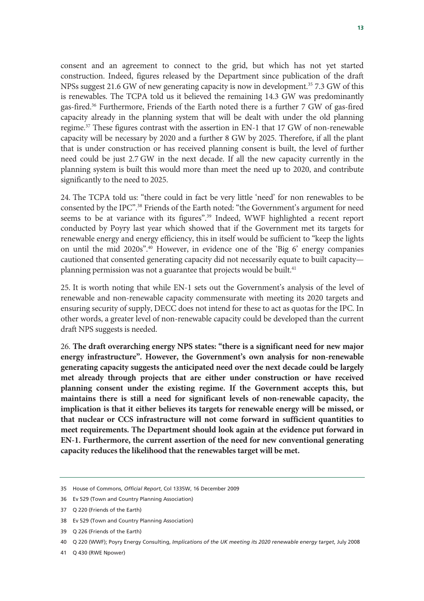consent and an agreement to connect to the grid, but which has not yet started construction. Indeed, figures released by the Department since publication of the draft NPSs suggest 21.6 GW of new generating capacity is now in development.<sup>35</sup> 7.3 GW of this is renewables. The TCPA told us it believed the remaining 14.3 GW was predominantly gas-fired.36 Furthermore, Friends of the Earth noted there is a further 7 GW of gas-fired capacity already in the planning system that will be dealt with under the old planning regime.37 These figures contrast with the assertion in EN-1 that 17 GW of non-renewable capacity will be necessary by 2020 and a further 8 GW by 2025. Therefore, if all the plant that is under construction or has received planning consent is built, the level of further need could be just 2.7 GW in the next decade. If all the new capacity currently in the planning system is built this would more than meet the need up to 2020, and contribute significantly to the need to 2025.

24. The TCPA told us: "there could in fact be very little 'need' for non renewables to be consented by the IPC".38 Friends of the Earth noted: "the Government's argument for need seems to be at variance with its figures".39 Indeed, WWF highlighted a recent report conducted by Poyry last year which showed that if the Government met its targets for renewable energy and energy efficiency, this in itself would be sufficient to "keep the lights on until the mid 2020s".40 However, in evidence one of the 'Big 6' energy companies cautioned that consented generating capacity did not necessarily equate to built capacity planning permission was not a guarantee that projects would be built.<sup>41</sup>

25. It is worth noting that while EN-1 sets out the Government's analysis of the level of renewable and non-renewable capacity commensurate with meeting its 2020 targets and ensuring security of supply, DECC does not intend for these to act as quotas for the IPC. In other words, a greater level of non-renewable capacity could be developed than the current draft NPS suggests is needed.

26. **The draft overarching energy NPS states: "there is a significant need for new major energy infrastructure". However, the Government's own analysis for non-renewable generating capacity suggests the anticipated need over the next decade could be largely met already through projects that are either under construction or have received planning consent under the existing regime. If the Government accepts this, but maintains there is still a need for significant levels of non-renewable capacity, the implication is that it either believes its targets for renewable energy will be missed, or that nuclear or CCS infrastructure will not come forward in sufficient quantities to meet requirements. The Department should look again at the evidence put forward in EN-1. Furthermore, the current assertion of the need for new conventional generating capacity reduces the likelihood that the renewables target will be met.** 

<sup>35</sup> House of Commons, *Official Report*, Col 1335W, 16 December 2009

<sup>36</sup> Ev 529 (Town and Country Planning Association)

<sup>37</sup> Q 220 (Friends of the Earth)

<sup>38</sup> Ev 529 (Town and Country Planning Association)

<sup>39</sup> Q 226 (Friends of the Earth)

<sup>40</sup> Q 220 (WWF); Poyry Energy Consulting, *Implications of the UK meeting its 2020 renewable energy target*, July 2008

<sup>41</sup> Q 430 (RWE Npower)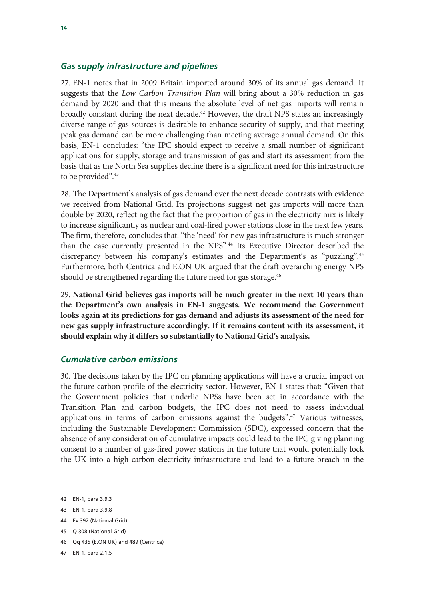#### *Gas supply infrastructure and pipelines*

27. EN-1 notes that in 2009 Britain imported around 30% of its annual gas demand. It suggests that the *Low Carbon Transition Plan* will bring about a 30% reduction in gas demand by 2020 and that this means the absolute level of net gas imports will remain broadly constant during the next decade.<sup>42</sup> However, the draft NPS states an increasingly diverse range of gas sources is desirable to enhance security of supply, and that meeting peak gas demand can be more challenging than meeting average annual demand. On this basis, EN-1 concludes: "the IPC should expect to receive a small number of significant applications for supply, storage and transmission of gas and start its assessment from the basis that as the North Sea supplies decline there is a significant need for this infrastructure to be provided".<sup>43</sup>

28. The Department's analysis of gas demand over the next decade contrasts with evidence we received from National Grid. Its projections suggest net gas imports will more than double by 2020, reflecting the fact that the proportion of gas in the electricity mix is likely to increase significantly as nuclear and coal-fired power stations close in the next few years. The firm, therefore, concludes that: "the 'need' for new gas infrastructure is much stronger than the case currently presented in the NPS".44 Its Executive Director described the discrepancy between his company's estimates and the Department's as "puzzling".45 Furthermore, both Centrica and E.ON UK argued that the draft overarching energy NPS should be strengthened regarding the future need for gas storage.<sup>46</sup>

29. **National Grid believes gas imports will be much greater in the next 10 years than the Department's own analysis in EN-1 suggests. We recommend the Government looks again at its predictions for gas demand and adjusts its assessment of the need for new gas supply infrastructure accordingly. If it remains content with its assessment, it should explain why it differs so substantially to National Grid's analysis.** 

#### *Cumulative carbon emissions*

30. The decisions taken by the IPC on planning applications will have a crucial impact on the future carbon profile of the electricity sector. However, EN-1 states that: "Given that the Government policies that underlie NPSs have been set in accordance with the Transition Plan and carbon budgets, the IPC does not need to assess individual applications in terms of carbon emissions against the budgets".<sup>47</sup> Various witnesses, including the Sustainable Development Commission (SDC), expressed concern that the absence of any consideration of cumulative impacts could lead to the IPC giving planning consent to a number of gas-fired power stations in the future that would potentially lock the UK into a high-carbon electricity infrastructure and lead to a future breach in the

- 45 Q 308 (National Grid)
- 46 Qq 435 (E.ON UK) and 489 (Centrica)
- 47 EN-1, para 2.1.5

<sup>42</sup> EN-1, para 3.9.3

<sup>43</sup> EN-1, para 3.9.8

<sup>44</sup> Ev 392 (National Grid)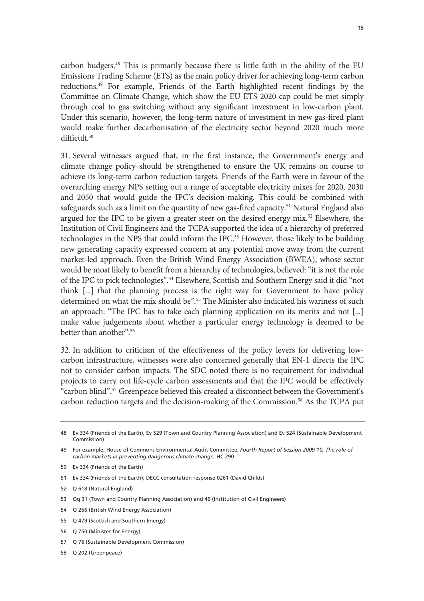carbon budgets.48 This is primarily because there is little faith in the ability of the EU Emissions Trading Scheme (ETS) as the main policy driver for achieving long-term carbon reductions.49 For example, Friends of the Earth highlighted recent findings by the Committee on Climate Change, which show the EU ETS 2020 cap could be met simply through coal to gas switching without any significant investment in low-carbon plant. Under this scenario, however, the long-term nature of investment in new gas-fired plant would make further decarbonisation of the electricity sector beyond 2020 much more difficult.<sup>50</sup>

31. Several witnesses argued that, in the first instance, the Government's energy and climate change policy should be strengthened to ensure the UK remains on course to achieve its long-term carbon reduction targets. Friends of the Earth were in favour of the overarching energy NPS setting out a range of acceptable electricity mixes for 2020, 2030 and 2050 that would guide the IPC's decision-making. This could be combined with safeguards such as a limit on the quantity of new gas-fired capacity.<sup>51</sup> Natural England also argued for the IPC to be given a greater steer on the desired energy mix.<sup>52</sup> Elsewhere, the Institution of Civil Engineers and the TCPA supported the idea of a hierarchy of preferred technologies in the NPS that could inform the IPC.53 However, those likely to be building new generating capacity expressed concern at any potential move away from the current market-led approach. Even the British Wind Energy Association (BWEA), whose sector would be most likely to benefit from a hierarchy of technologies, believed: "it is not the role of the IPC to pick technologies".<sup>54</sup> Elsewhere, Scottish and Southern Energy said it did "not think [...] that the planning process is the right way for Government to have policy determined on what the mix should be".<sup>55</sup> The Minister also indicated his wariness of such an approach: "The IPC has to take each planning application on its merits and not [...] make value judgements about whether a particular energy technology is deemed to be better than another".56

32. In addition to criticism of the effectiveness of the policy levers for delivering lowcarbon infrastructure, witnesses were also concerned generally that EN-1 directs the IPC not to consider carbon impacts. The SDC noted there is no requirement for individual projects to carry out life-cycle carbon assessments and that the IPC would be effectively "carbon blind".57 Greenpeace believed this created a disconnect between the Government's carbon reduction targets and the decision-making of the Commission.<sup>58</sup> As the TCPA put

- 50 Ev 334 (Friends of the Earth)
- 51 Ev 334 (Friends of the Earth); DECC consultation response 0261 (David Childs)
- 52 Q 618 (Natural England)
- 53 Qq 31 (Town and Country Planning Association) and 46 (Institution of Civil Engineers)
- 54 Q 266 (British Wind Energy Association)
- 55 Q 479 (Scottish and Southern Energy)
- 56 Q 750 (Minister for Energy)
- 57 Q 76 (Sustainable Development Commission)
- 58 Q 202 (Greenpeace)

<sup>48</sup> Ev 334 (Friends of the Earth), Ev 529 (Town and Country Planning Association) and Ev 524 (Sustainable Development Commission)

<sup>49</sup> For example, House of Commons Environmental Audit Committee, *Fourth Report of Session 2009-10, The role of carbon markets in preventing dangerous climate change*, HC 290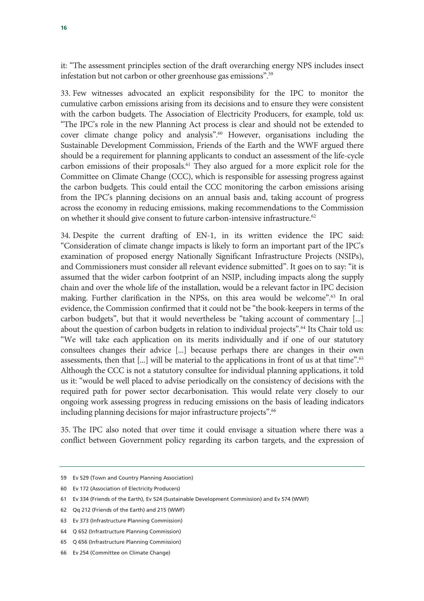it: "The assessment principles section of the draft overarching energy NPS includes insect infestation but not carbon or other greenhouse gas emissions".59

33. Few witnesses advocated an explicit responsibility for the IPC to monitor the cumulative carbon emissions arising from its decisions and to ensure they were consistent with the carbon budgets. The Association of Electricity Producers, for example, told us: "The IPC's role in the new Planning Act process is clear and should not be extended to cover climate change policy and analysis".60 However, organisations including the Sustainable Development Commission, Friends of the Earth and the WWF argued there should be a requirement for planning applicants to conduct an assessment of the life-cycle carbon emissions of their proposals.<sup>61</sup> They also argued for a more explicit role for the Committee on Climate Change (CCC), which is responsible for assessing progress against the carbon budgets. This could entail the CCC monitoring the carbon emissions arising from the IPC's planning decisions on an annual basis and, taking account of progress across the economy in reducing emissions, making recommendations to the Commission on whether it should give consent to future carbon-intensive infrastructure.<sup>62</sup>

34. Despite the current drafting of EN-1, in its written evidence the IPC said: "Consideration of climate change impacts is likely to form an important part of the IPC's examination of proposed energy Nationally Significant Infrastructure Projects (NSIPs), and Commissioners must consider all relevant evidence submitted". It goes on to say: "it is assumed that the wider carbon footprint of an NSIP, including impacts along the supply chain and over the whole life of the installation, would be a relevant factor in IPC decision making. Further clarification in the NPSs, on this area would be welcome".<sup>63</sup> In oral evidence, the Commission confirmed that it could not be "the book-keepers in terms of the carbon budgets", but that it would nevertheless be "taking account of commentary [...] about the question of carbon budgets in relation to individual projects".<sup>64</sup> Its Chair told us: "We will take each application on its merits individually and if one of our statutory consultees changes their advice [...] because perhaps there are changes in their own assessments, then that  $[\dots]$  will be material to the applications in front of us at that time".<sup>65</sup> Although the CCC is not a statutory consultee for individual planning applications, it told us it: "would be well placed to advise periodically on the consistency of decisions with the required path for power sector decarbonisation. This would relate very closely to our ongoing work assessing progress in reducing emissions on the basis of leading indicators including planning decisions for major infrastructure projects".<sup>66</sup>

35. The IPC also noted that over time it could envisage a situation where there was a conflict between Government policy regarding its carbon targets, and the expression of

- 64 Q 652 (Infrastructure Planning Commission)
- 65 Q 656 (Infrastructure Planning Commission)

<sup>59</sup> Ev 529 (Town and Country Planning Association)

<sup>60</sup> Ev 172 (Association of Electricity Producers)

<sup>61</sup> Ev 334 (Friends of the Earth), Ev 524 (Sustainable Development Commission) and Ev 574 (WWF)

<sup>62</sup> Qq 212 (Friends of the Earth) and 215 (WWF)

<sup>63</sup> Ev 373 (Infrastructure Planning Commission)

<sup>66</sup> Ev 254 (Committee on Climate Change)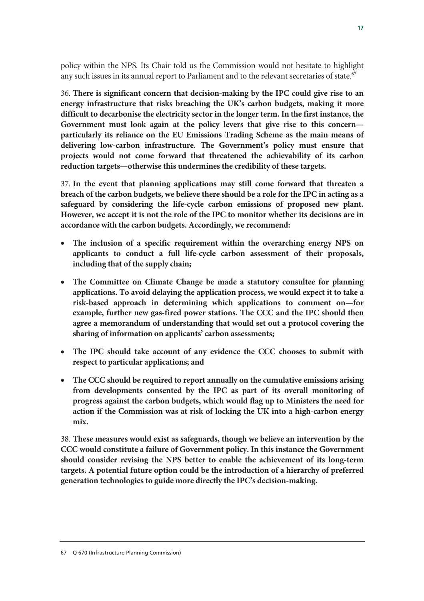policy within the NPS. Its Chair told us the Commission would not hesitate to highlight any such issues in its annual report to Parliament and to the relevant secretaries of state.<sup>67</sup>

36. **There is significant concern that decision-making by the IPC could give rise to an energy infrastructure that risks breaching the UK's carbon budgets, making it more difficult to decarbonise the electricity sector in the longer term. In the first instance, the Government must look again at the policy levers that give rise to this concern particularly its reliance on the EU Emissions Trading Scheme as the main means of delivering low-carbon infrastructure. The Government's policy must ensure that projects would not come forward that threatened the achievability of its carbon reduction targets—otherwise this undermines the credibility of these targets.**

37. **In the event that planning applications may still come forward that threaten a breach of the carbon budgets, we believe there should be a role for the IPC in acting as a safeguard by considering the life-cycle carbon emissions of proposed new plant. However, we accept it is not the role of the IPC to monitor whether its decisions are in accordance with the carbon budgets. Accordingly, we recommend:**

- **The inclusion of a specific requirement within the overarching energy NPS on applicants to conduct a full life-cycle carbon assessment of their proposals, including that of the supply chain;**
- **The Committee on Climate Change be made a statutory consultee for planning applications. To avoid delaying the application process, we would expect it to take a risk-based approach in determining which applications to comment on—for example, further new gas-fired power stations. The CCC and the IPC should then agree a memorandum of understanding that would set out a protocol covering the sharing of information on applicants' carbon assessments;**
- **The IPC should take account of any evidence the CCC chooses to submit with respect to particular applications; and**
- **The CCC should be required to report annually on the cumulative emissions arising from developments consented by the IPC as part of its overall monitoring of progress against the carbon budgets, which would flag up to Ministers the need for action if the Commission was at risk of locking the UK into a high-carbon energy mix.**

38. **These measures would exist as safeguards, though we believe an intervention by the CCC would constitute a failure of Government policy. In this instance the Government should consider revising the NPS better to enable the achievement of its long-term targets. A potential future option could be the introduction of a hierarchy of preferred generation technologies to guide more directly the IPC's decision-making.**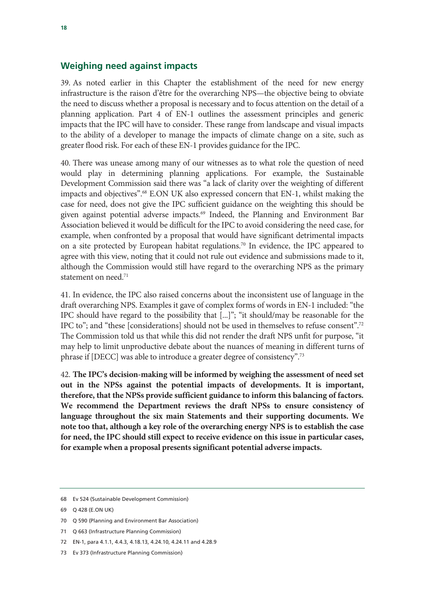#### **Weighing need against impacts**

39. As noted earlier in this Chapter the establishment of the need for new energy infrastructure is the raison d'être for the overarching NPS—the objective being to obviate the need to discuss whether a proposal is necessary and to focus attention on the detail of a planning application. Part 4 of EN-1 outlines the assessment principles and generic impacts that the IPC will have to consider. These range from landscape and visual impacts to the ability of a developer to manage the impacts of climate change on a site, such as greater flood risk. For each of these EN-1 provides guidance for the IPC.

40. There was unease among many of our witnesses as to what role the question of need would play in determining planning applications. For example, the Sustainable Development Commission said there was "a lack of clarity over the weighting of different impacts and objectives".68 E.ON UK also expressed concern that EN-1, whilst making the case for need, does not give the IPC sufficient guidance on the weighting this should be given against potential adverse impacts.<sup>69</sup> Indeed, the Planning and Environment Bar Association believed it would be difficult for the IPC to avoid considering the need case, for example, when confronted by a proposal that would have significant detrimental impacts on a site protected by European habitat regulations.70 In evidence, the IPC appeared to agree with this view, noting that it could not rule out evidence and submissions made to it, although the Commission would still have regard to the overarching NPS as the primary statement on need.<sup>71</sup>

41. In evidence, the IPC also raised concerns about the inconsistent use of language in the draft overarching NPS. Examples it gave of complex forms of words in EN-1 included: "the IPC should have regard to the possibility that [...]"; "it should/may be reasonable for the IPC to"; and "these [considerations] should not be used in themselves to refuse consent".72 The Commission told us that while this did not render the draft NPS unfit for purpose, "it may help to limit unproductive debate about the nuances of meaning in different turns of phrase if [DECC] was able to introduce a greater degree of consistency".73

42. **The IPC's decision-making will be informed by weighing the assessment of need set out in the NPSs against the potential impacts of developments. It is important, therefore, that the NPSs provide sufficient guidance to inform this balancing of factors. We recommend the Department reviews the draft NPSs to ensure consistency of language throughout the six main Statements and their supporting documents. We note too that, although a key role of the overarching energy NPS is to establish the case for need, the IPC should still expect to receive evidence on this issue in particular cases, for example when a proposal presents significant potential adverse impacts.** 

- 71 Q 663 (Infrastructure Planning Commission)
- 72 EN-1, para 4.1.1, 4.4.3, 4.18.13, 4.24.10, 4.24.11 and 4.28.9
- 73 Ev 373 (Infrastructure Planning Commission)

<sup>68</sup> Ev 524 (Sustainable Development Commission)

<sup>69</sup> Q 428 (E.ON UK)

<sup>70</sup> Q 590 (Planning and Environment Bar Association)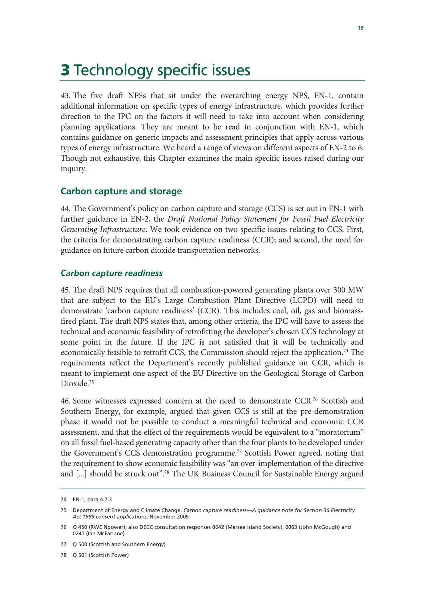### **3 Technology specific issues**

43. The five draft NPSs that sit under the overarching energy NPS, EN-1, contain additional information on specific types of energy infrastructure, which provides further direction to the IPC on the factors it will need to take into account when considering planning applications. They are meant to be read in conjunction with EN-1, which contains guidance on generic impacts and assessment principles that apply across various types of energy infrastructure. We heard a range of views on different aspects of EN-2 to 6. Though not exhaustive, this Chapter examines the main specific issues raised during our inquiry.

#### **Carbon capture and storage**

44. The Government's policy on carbon capture and storage (CCS) is set out in EN-1 with further guidance in EN-2, the *Draft National Policy Statement for Fossil Fuel Electricity Generating Infrastructure*. We took evidence on two specific issues relating to CCS. First, the criteria for demonstrating carbon capture readiness (CCR); and second, the need for guidance on future carbon dioxide transportation networks.

#### *Carbon capture readiness*

45. The draft NPS requires that all combustion-powered generating plants over 300 MW that are subject to the EU's Large Combustion Plant Directive (LCPD) will need to demonstrate 'carbon capture readiness' (CCR). This includes coal, oil, gas and biomassfired plant. The draft NPS states that, among other criteria, the IPC will have to assess the technical and economic feasibility of retrofitting the developer's chosen CCS technology at some point in the future. If the IPC is not satisfied that it will be technically and economically feasible to retrofit CCS, the Commission should reject the application.74 The requirements reflect the Department's recently published guidance on CCR, which is meant to implement one aspect of the EU Directive on the Geological Storage of Carbon Dioxide.<sup>75</sup>

46. Some witnesses expressed concern at the need to demonstrate CCR.76 Scottish and Southern Energy, for example, argued that given CCS is still at the pre-demonstration phase it would not be possible to conduct a meaningful technical and economic CCR assessment, and that the effect of the requirements would be equivalent to a "moratorium" on all fossil fuel-based generating capacity other than the four plants to be developed under the Government's CCS demonstration programme.<sup>77</sup> Scottish Power agreed, noting that the requirement to show economic feasibility was "an over-implementation of the directive and [...] should be struck out".78 The UK Business Council for Sustainable Energy argued

<sup>74</sup> EN-1, para 4.7.3

<sup>75</sup> Department of Energy and Climate Change, *Carbon capture readiness—A guidance note for Section 36 Electricity Act 1989 consent applications*, November 2009

<sup>76</sup> Q 450 (RWE Npower); also DECC consultation responses 0042 (Mersea Island Society), 0063 (John McGough) and 0247 (Ian McFarlane)

<sup>77</sup> Q 500 (Scottish and Southern Energy)

<sup>78</sup> Q 501 (Scottish Power)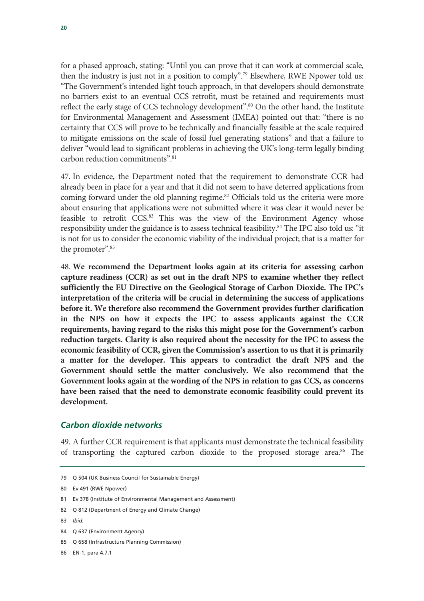for a phased approach, stating: "Until you can prove that it can work at commercial scale, then the industry is just not in a position to comply".79 Elsewhere, RWE Npower told us: "The Government's intended light touch approach, in that developers should demonstrate no barriers exist to an eventual CCS retrofit, must be retained and requirements must reflect the early stage of CCS technology development".<sup>80</sup> On the other hand, the Institute for Environmental Management and Assessment (IMEA) pointed out that: "there is no certainty that CCS will prove to be technically and financially feasible at the scale required to mitigate emissions on the scale of fossil fuel generating stations" and that a failure to deliver "would lead to significant problems in achieving the UK's long-term legally binding carbon reduction commitments".81

47. In evidence, the Department noted that the requirement to demonstrate CCR had already been in place for a year and that it did not seem to have deterred applications from coming forward under the old planning regime.<sup>82</sup> Officials told us the criteria were more about ensuring that applications were not submitted where it was clear it would never be feasible to retrofit CCS.<sup>83</sup> This was the view of the Environment Agency whose responsibility under the guidance is to assess technical feasibility.84 The IPC also told us: "it is not for us to consider the economic viability of the individual project; that is a matter for the promoter".<sup>85</sup>

48. **We recommend the Department looks again at its criteria for assessing carbon capture readiness (CCR) as set out in the draft NPS to examine whether they reflect sufficiently the EU Directive on the Geological Storage of Carbon Dioxide. The IPC's interpretation of the criteria will be crucial in determining the success of applications before it. We therefore also recommend the Government provides further clarification in the NPS on how it expects the IPC to assess applicants against the CCR requirements, having regard to the risks this might pose for the Government's carbon reduction targets. Clarity is also required about the necessity for the IPC to assess the economic feasibility of CCR, given the Commission's assertion to us that it is primarily a matter for the developer. This appears to contradict the draft NPS and the Government should settle the matter conclusively. We also recommend that the Government looks again at the wording of the NPS in relation to gas CCS, as concerns have been raised that the need to demonstrate economic feasibility could prevent its development.** 

#### *Carbon dioxide networks*

49. A further CCR requirement is that applicants must demonstrate the technical feasibility of transporting the captured carbon dioxide to the proposed storage area.<sup>86</sup> The

83 *Ibid.* 

85 Q 658 (Infrastructure Planning Commission)

86 EN-1, para 4.7.1

<sup>79</sup> Q 504 (UK Business Council for Sustainable Energy)

<sup>80</sup> Ev 491 (RWE Npower)

<sup>81</sup> Ev 378 (Institute of Environmental Management and Assessment)

<sup>82</sup> Q 812 (Department of Energy and Climate Change)

<sup>84</sup> Q 637 (Environment Agency)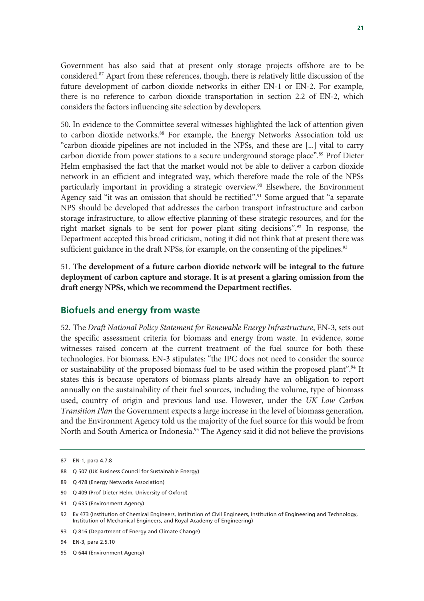Government has also said that at present only storage projects offshore are to be considered.87 Apart from these references, though, there is relatively little discussion of the future development of carbon dioxide networks in either EN-1 or EN-2. For example, there is no reference to carbon dioxide transportation in section 2.2 of EN-2, which considers the factors influencing site selection by developers.

50. In evidence to the Committee several witnesses highlighted the lack of attention given to carbon dioxide networks.<sup>88</sup> For example, the Energy Networks Association told us: "carbon dioxide pipelines are not included in the NPSs, and these are [...] vital to carry carbon dioxide from power stations to a secure underground storage place".89 Prof Dieter Helm emphasised the fact that the market would not be able to deliver a carbon dioxide network in an efficient and integrated way, which therefore made the role of the NPSs particularly important in providing a strategic overview.<sup>90</sup> Elsewhere, the Environment Agency said "it was an omission that should be rectified".<sup>91</sup> Some argued that "a separate NPS should be developed that addresses the carbon transport infrastructure and carbon storage infrastructure, to allow effective planning of these strategic resources, and for the right market signals to be sent for power plant siting decisions".<sup>92</sup> In response, the Department accepted this broad criticism, noting it did not think that at present there was sufficient guidance in the draft NPSs, for example, on the consenting of the pipelines.<sup>93</sup>

51. **The development of a future carbon dioxide network will be integral to the future deployment of carbon capture and storage. It is at present a glaring omission from the draft energy NPSs, which we recommend the Department rectifies.**

#### **Biofuels and energy from waste**

52. The *Draft National Policy Statement for Renewable Energy Infrastructure*, EN-3, sets out the specific assessment criteria for biomass and energy from waste. In evidence, some witnesses raised concern at the current treatment of the fuel source for both these technologies. For biomass, EN-3 stipulates: "the IPC does not need to consider the source or sustainability of the proposed biomass fuel to be used within the proposed plant".<sup>94</sup> It states this is because operators of biomass plants already have an obligation to report annually on the sustainability of their fuel sources, including the volume, type of biomass used, country of origin and previous land use. However, under the *UK Low Carbon Transition Plan* the Government expects a large increase in the level of biomass generation, and the Environment Agency told us the majority of the fuel source for this would be from North and South America or Indonesia.<sup>95</sup> The Agency said it did not believe the provisions

- 89 Q 478 (Energy Networks Association)
- 90 Q 409 (Prof Dieter Helm, University of Oxford)
- 91 Q 635 (Environment Agency)

93 Q 816 (Department of Energy and Climate Change)

95 Q 644 (Environment Agency)

<sup>87</sup> EN-1, para 4.7.8

<sup>88</sup> Q 507 (UK Business Council for Sustainable Energy)

<sup>92</sup> Ev 473 (Institution of Chemical Engineers, Institution of Civil Engineers, Institution of Engineering and Technology, Institution of Mechanical Engineers, and Royal Academy of Engineering)

<sup>94</sup> EN-3, para 2.5.10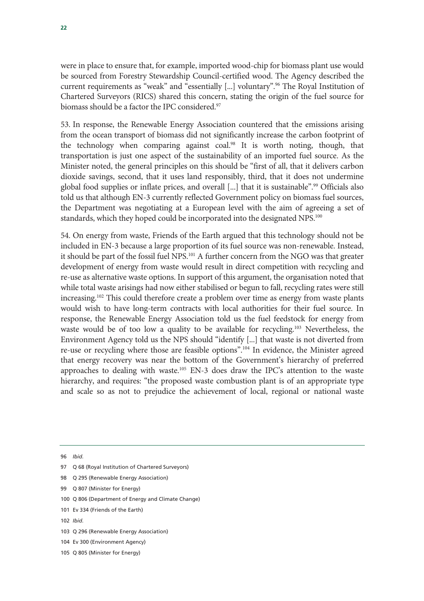were in place to ensure that, for example, imported wood-chip for biomass plant use would be sourced from Forestry Stewardship Council-certified wood. The Agency described the current requirements as "weak" and "essentially [...] voluntary".96 The Royal Institution of Chartered Surveyors (RICS) shared this concern, stating the origin of the fuel source for biomass should be a factor the IPC considered.<sup>97</sup>

53. In response, the Renewable Energy Association countered that the emissions arising from the ocean transport of biomass did not significantly increase the carbon footprint of the technology when comparing against coal.<sup>98</sup> It is worth noting, though, that transportation is just one aspect of the sustainability of an imported fuel source. As the Minister noted, the general principles on this should be "first of all, that it delivers carbon dioxide savings, second, that it uses land responsibly, third, that it does not undermine global food supplies or inflate prices, and overall [...] that it is sustainable".<sup>99</sup> Officials also told us that although EN-3 currently reflected Government policy on biomass fuel sources, the Department was negotiating at a European level with the aim of agreeing a set of standards, which they hoped could be incorporated into the designated NPS.<sup>100</sup>

54. On energy from waste, Friends of the Earth argued that this technology should not be included in EN-3 because a large proportion of its fuel source was non-renewable. Instead, it should be part of the fossil fuel NPS.<sup>101</sup> A further concern from the NGO was that greater development of energy from waste would result in direct competition with recycling and re-use as alternative waste options. In support of this argument, the organisation noted that while total waste arisings had now either stabilised or begun to fall, recycling rates were still increasing.<sup>102</sup> This could therefore create a problem over time as energy from waste plants would wish to have long-term contracts with local authorities for their fuel source. In response, the Renewable Energy Association told us the fuel feedstock for energy from waste would be of too low a quality to be available for recycling.<sup>103</sup> Nevertheless, the Environment Agency told us the NPS should "identify [...] that waste is not diverted from re-use or recycling where those are feasible options".104 In evidence, the Minister agreed that energy recovery was near the bottom of the Government's hierarchy of preferred approaches to dealing with waste.<sup>105</sup> EN-3 does draw the IPC's attention to the waste hierarchy, and requires: "the proposed waste combustion plant is of an appropriate type and scale so as not to prejudice the achievement of local, regional or national waste

96 *Ibid.* 

- 97 O 68 (Royal Institution of Chartered Surveyors)
- 98 Q 295 (Renewable Energy Association)
- 99 Q 807 (Minister for Energy)
- 100 Q 806 (Department of Energy and Climate Change)
- 101 Ev 334 (Friends of the Earth)
- 102 *Ibid.*
- 103 Q 296 (Renewable Energy Association)
- 104 Ev 300 (Environment Agency)
- 105 Q 805 (Minister for Energy)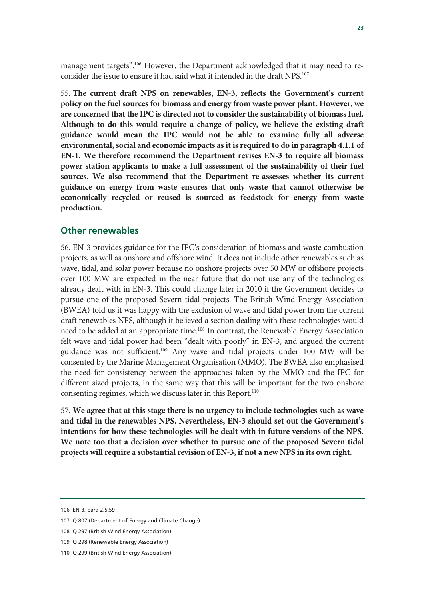management targets".106 However, the Department acknowledged that it may need to reconsider the issue to ensure it had said what it intended in the draft NPS.107

55. **The current draft NPS on renewables, EN-3, reflects the Government's current policy on the fuel sources for biomass and energy from waste power plant. However, we are concerned that the IPC is directed not to consider the sustainability of biomass fuel. Although to do this would require a change of policy, we believe the existing draft guidance would mean the IPC would not be able to examine fully all adverse environmental, social and economic impacts as it is required to do in paragraph 4.1.1 of EN-1. We therefore recommend the Department revises EN-3 to require all biomass power station applicants to make a full assessment of the sustainability of their fuel sources. We also recommend that the Department re-assesses whether its current guidance on energy from waste ensures that only waste that cannot otherwise be economically recycled or reused is sourced as feedstock for energy from waste production.**

#### **Other renewables**

56. EN-3 provides guidance for the IPC's consideration of biomass and waste combustion projects, as well as onshore and offshore wind. It does not include other renewables such as wave, tidal, and solar power because no onshore projects over 50 MW or offshore projects over 100 MW are expected in the near future that do not use any of the technologies already dealt with in EN-3. This could change later in 2010 if the Government decides to pursue one of the proposed Severn tidal projects. The British Wind Energy Association (BWEA) told us it was happy with the exclusion of wave and tidal power from the current draft renewables NPS, although it believed a section dealing with these technologies would need to be added at an appropriate time.<sup>108</sup> In contrast, the Renewable Energy Association felt wave and tidal power had been "dealt with poorly" in EN-3, and argued the current guidance was not sufficient.109 Any wave and tidal projects under 100 MW will be consented by the Marine Management Organisation (MMO). The BWEA also emphasised the need for consistency between the approaches taken by the MMO and the IPC for different sized projects, in the same way that this will be important for the two onshore consenting regimes, which we discuss later in this Report.<sup>110</sup>

57. **We agree that at this stage there is no urgency to include technologies such as wave and tidal in the renewables NPS. Nevertheless, EN-3 should set out the Government's intentions for how these technologies will be dealt with in future versions of the NPS. We note too that a decision over whether to pursue one of the proposed Severn tidal projects will require a substantial revision of EN-3, if not a new NPS in its own right.** 

<sup>106</sup> EN-3, para 2.5.59

<sup>107</sup> Q 807 (Department of Energy and Climate Change)

<sup>108</sup> Q 297 (British Wind Energy Association)

<sup>109</sup> Q 298 (Renewable Energy Association)

<sup>110</sup> Q 299 (British Wind Energy Association)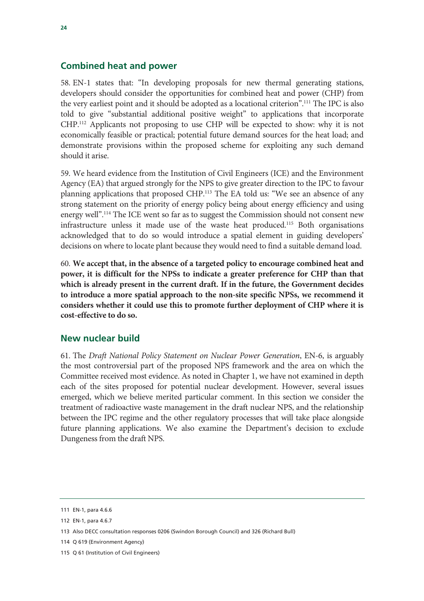#### **Combined heat and power**

58. EN-1 states that: "In developing proposals for new thermal generating stations, developers should consider the opportunities for combined heat and power (CHP) from the very earliest point and it should be adopted as a locational criterion".111 The IPC is also told to give "substantial additional positive weight" to applications that incorporate CHP.112 Applicants not proposing to use CHP will be expected to show: why it is not economically feasible or practical; potential future demand sources for the heat load; and demonstrate provisions within the proposed scheme for exploiting any such demand should it arise.

59. We heard evidence from the Institution of Civil Engineers (ICE) and the Environment Agency (EA) that argued strongly for the NPS to give greater direction to the IPC to favour planning applications that proposed CHP.113 The EA told us: "We see an absence of any strong statement on the priority of energy policy being about energy efficiency and using energy well".114 The ICE went so far as to suggest the Commission should not consent new infrastructure unless it made use of the waste heat produced.115 Both organisations acknowledged that to do so would introduce a spatial element in guiding developers' decisions on where to locate plant because they would need to find a suitable demand load.

60. **We accept that, in the absence of a targeted policy to encourage combined heat and power, it is difficult for the NPSs to indicate a greater preference for CHP than that which is already present in the current draft. If in the future, the Government decides to introduce a more spatial approach to the non-site specific NPSs, we recommend it considers whether it could use this to promote further deployment of CHP where it is cost-effective to do so.** 

#### **New nuclear build**

61. The *Draft National Policy Statement on Nuclear Power Generation*, EN-6, is arguably the most controversial part of the proposed NPS framework and the area on which the Committee received most evidence. As noted in Chapter 1, we have not examined in depth each of the sites proposed for potential nuclear development. However, several issues emerged, which we believe merited particular comment. In this section we consider the treatment of radioactive waste management in the draft nuclear NPS, and the relationship between the IPC regime and the other regulatory processes that will take place alongside future planning applications. We also examine the Department's decision to exclude Dungeness from the draft NPS.

<sup>111</sup> EN-1, para 4.6.6

<sup>112</sup> EN-1, para 4.6.7

<sup>113</sup> Also DECC consultation responses 0206 (Swindon Borough Council) and 326 (Richard Bull)

<sup>114</sup> Q 619 (Environment Agency)

<sup>115</sup> Q 61 (Institution of Civil Engineers)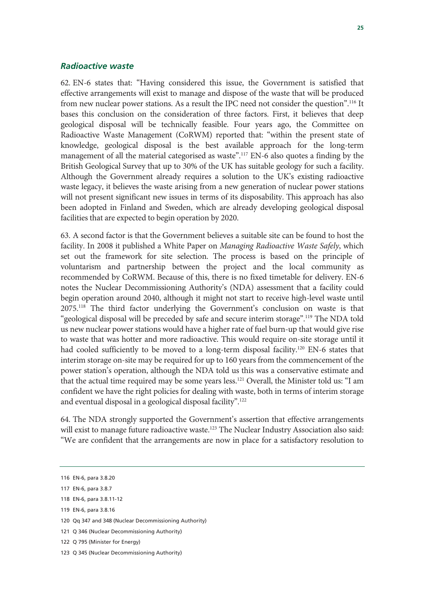#### *Radioactive waste*

62. EN-6 states that: "Having considered this issue, the Government is satisfied that effective arrangements will exist to manage and dispose of the waste that will be produced from new nuclear power stations. As a result the IPC need not consider the question".116 It bases this conclusion on the consideration of three factors. First, it believes that deep geological disposal will be technically feasible. Four years ago, the Committee on Radioactive Waste Management (CoRWM) reported that: "within the present state of knowledge, geological disposal is the best available approach for the long-term management of all the material categorised as waste".<sup>117</sup> EN-6 also quotes a finding by the British Geological Survey that up to 30% of the UK has suitable geology for such a facility. Although the Government already requires a solution to the UK's existing radioactive waste legacy, it believes the waste arising from a new generation of nuclear power stations will not present significant new issues in terms of its disposability. This approach has also been adopted in Finland and Sweden, which are already developing geological disposal facilities that are expected to begin operation by 2020.

63. A second factor is that the Government believes a suitable site can be found to host the facility. In 2008 it published a White Paper on *Managing Radioactive Waste Safely*, which set out the framework for site selection. The process is based on the principle of voluntarism and partnership between the project and the local community as recommended by CoRWM. Because of this, there is no fixed timetable for delivery. EN-6 notes the Nuclear Decommissioning Authority's (NDA) assessment that a facility could begin operation around 2040, although it might not start to receive high-level waste until 2075.118 The third factor underlying the Government's conclusion on waste is that "geological disposal will be preceded by safe and secure interim storage".119 The NDA told us new nuclear power stations would have a higher rate of fuel burn-up that would give rise to waste that was hotter and more radioactive. This would require on-site storage until it had cooled sufficiently to be moved to a long-term disposal facility.<sup>120</sup> EN-6 states that interim storage on-site may be required for up to 160 years from the commencement of the power station's operation, although the NDA told us this was a conservative estimate and that the actual time required may be some years less.121 Overall, the Minister told us: "I am confident we have the right policies for dealing with waste, both in terms of interim storage and eventual disposal in a geological disposal facility".122

64. The NDA strongly supported the Government's assertion that effective arrangements will exist to manage future radioactive waste.<sup>123</sup> The Nuclear Industry Association also said: "We are confident that the arrangements are now in place for a satisfactory resolution to

<sup>116</sup> EN-6, para 3.8.20

<sup>117</sup> EN-6, para 3.8.7

<sup>118</sup> EN-6, para 3.8.11-12

<sup>119</sup> EN-6, para 3.8.16

<sup>120</sup> Qq 347 and 348 (Nuclear Decommissioning Authority)

<sup>121</sup> Q 346 (Nuclear Decommissioning Authority)

<sup>122</sup> Q 795 (Minister for Energy)

<sup>123</sup> Q 345 (Nuclear Decommissioning Authority)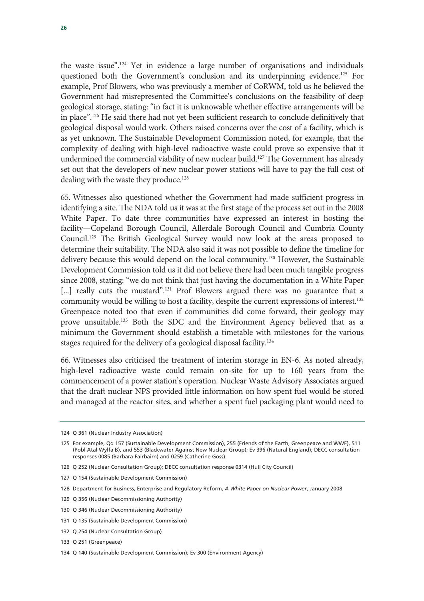the waste issue".124 Yet in evidence a large number of organisations and individuals questioned both the Government's conclusion and its underpinning evidence.<sup>125</sup> For example, Prof Blowers, who was previously a member of CoRWM, told us he believed the Government had misrepresented the Committee's conclusions on the feasibility of deep geological storage, stating: "in fact it is unknowable whether effective arrangements will be in place".126 He said there had not yet been sufficient research to conclude definitively that geological disposal would work. Others raised concerns over the cost of a facility, which is as yet unknown. The Sustainable Development Commission noted, for example, that the complexity of dealing with high-level radioactive waste could prove so expensive that it undermined the commercial viability of new nuclear build.<sup>127</sup> The Government has already set out that the developers of new nuclear power stations will have to pay the full cost of dealing with the waste they produce.<sup>128</sup>

65. Witnesses also questioned whether the Government had made sufficient progress in identifying a site. The NDA told us it was at the first stage of the process set out in the 2008 White Paper. To date three communities have expressed an interest in hosting the facility—Copeland Borough Council, Allerdale Borough Council and Cumbria County Council.129 The British Geological Survey would now look at the areas proposed to determine their suitability. The NDA also said it was not possible to define the timeline for delivery because this would depend on the local community.130 However, the Sustainable Development Commission told us it did not believe there had been much tangible progress since 2008, stating: "we do not think that just having the documentation in a White Paper [...] really cuts the mustard".<sup>131</sup> Prof Blowers argued there was no guarantee that a community would be willing to host a facility, despite the current expressions of interest.<sup>132</sup> Greenpeace noted too that even if communities did come forward, their geology may prove unsuitable.133 Both the SDC and the Environment Agency believed that as a minimum the Government should establish a timetable with milestones for the various stages required for the delivery of a geological disposal facility.<sup>134</sup>

66. Witnesses also criticised the treatment of interim storage in EN-6. As noted already, high-level radioactive waste could remain on-site for up to 160 years from the commencement of a power station's operation. Nuclear Waste Advisory Associates argued that the draft nuclear NPS provided little information on how spent fuel would be stored and managed at the reactor sites, and whether a spent fuel packaging plant would need to

<sup>124</sup> Q 361 (Nuclear Industry Association)

<sup>125</sup> For example, Qq 157 (Sustainable Development Commission), 255 (Friends of the Earth, Greenpeace and WWF), 511 (Pobl Atal Wylfa B), and 553 (Blackwater Against New Nuclear Group); Ev 396 (Natural England); DECC consultation responses 0085 (Barbara Fairbairn) and 0259 (Catherine Goss)

<sup>126</sup> Q 252 (Nuclear Consultation Group); DECC consultation response 0314 (Hull City Council)

<sup>127</sup> Q 154 (Sustainable Development Commission)

<sup>128</sup> Department for Business, Enterprise and Regulatory Reform, *A White Paper on Nuclear Power*, January 2008

<sup>129</sup> Q 356 (Nuclear Decommissioning Authority)

<sup>130</sup> Q 346 (Nuclear Decommissioning Authority)

<sup>131</sup> Q 135 (Sustainable Development Commission)

<sup>132</sup> Q 254 (Nuclear Consultation Group)

<sup>133</sup> Q 251 (Greenpeace)

<sup>134</sup> Q 140 (Sustainable Development Commission); Ev 300 (Environment Agency)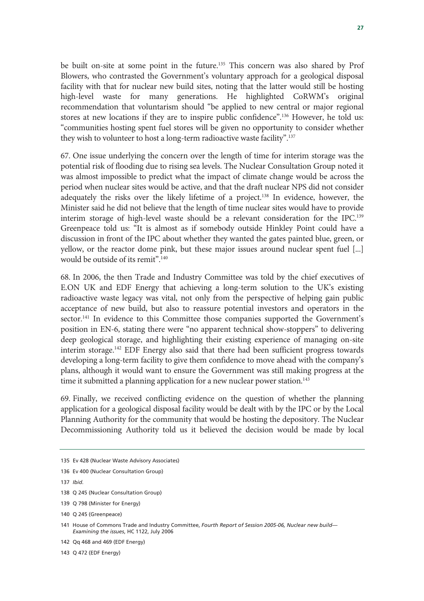be built on-site at some point in the future.135 This concern was also shared by Prof Blowers, who contrasted the Government's voluntary approach for a geological disposal facility with that for nuclear new build sites, noting that the latter would still be hosting high-level waste for many generations. He highlighted CoRWM's original recommendation that voluntarism should "be applied to new central or major regional stores at new locations if they are to inspire public confidence".136 However, he told us: "communities hosting spent fuel stores will be given no opportunity to consider whether they wish to volunteer to host a long-term radioactive waste facility".<sup>137</sup>

67. One issue underlying the concern over the length of time for interim storage was the potential risk of flooding due to rising sea levels. The Nuclear Consultation Group noted it was almost impossible to predict what the impact of climate change would be across the period when nuclear sites would be active, and that the draft nuclear NPS did not consider adequately the risks over the likely lifetime of a project.<sup>138</sup> In evidence, however, the Minister said he did not believe that the length of time nuclear sites would have to provide interim storage of high-level waste should be a relevant consideration for the IPC.139 Greenpeace told us: "It is almost as if somebody outside Hinkley Point could have a discussion in front of the IPC about whether they wanted the gates painted blue, green, or yellow, or the reactor dome pink, but these major issues around nuclear spent fuel [...] would be outside of its remit".140

68. In 2006, the then Trade and Industry Committee was told by the chief executives of E.ON UK and EDF Energy that achieving a long-term solution to the UK's existing radioactive waste legacy was vital, not only from the perspective of helping gain public acceptance of new build, but also to reassure potential investors and operators in the sector.<sup>141</sup> In evidence to this Committee those companies supported the Government's position in EN-6, stating there were "no apparent technical show-stoppers" to delivering deep geological storage, and highlighting their existing experience of managing on-site interim storage.142 EDF Energy also said that there had been sufficient progress towards developing a long-term facility to give them confidence to move ahead with the company's plans, although it would want to ensure the Government was still making progress at the time it submitted a planning application for a new nuclear power station.<sup>143</sup>

69. Finally, we received conflicting evidence on the question of whether the planning application for a geological disposal facility would be dealt with by the IPC or by the Local Planning Authority for the community that would be hosting the depository. The Nuclear Decommissioning Authority told us it believed the decision would be made by local

<sup>135</sup> Ev 428 (Nuclear Waste Advisory Associates)

<sup>136</sup> Ev 400 (Nuclear Consultation Group)

<sup>137</sup> *Ibid.*

<sup>138</sup> Q 245 (Nuclear Consultation Group)

<sup>139</sup> Q 798 (Minister for Energy)

<sup>140</sup> Q 245 (Greenpeace)

<sup>141</sup> House of Commons Trade and Industry Committee, *Fourth Report of Session 2005-06, Nuclear new build— Examining the issues*, HC 1122, July 2006

<sup>142</sup> Qq 468 and 469 (EDF Energy)

<sup>143</sup> Q 472 (EDF Energy)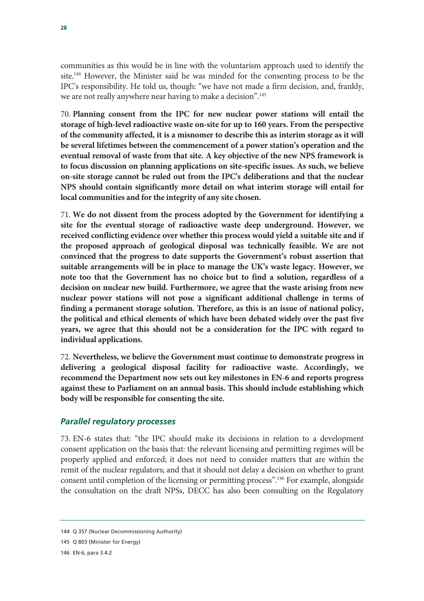communities as this would be in line with the voluntarism approach used to identify the site.<sup>144</sup> However, the Minister said he was minded for the consenting process to be the IPC's responsibility. He told us, though: "we have not made a firm decision, and, frankly, we are not really anywhere near having to make a decision".145

70. **Planning consent from the IPC for new nuclear power stations will entail the storage of high-level radioactive waste on-site for up to 160 years. From the perspective of the community affected, it is a misnomer to describe this as interim storage as it will be several lifetimes between the commencement of a power station's operation and the eventual removal of waste from that site. A key objective of the new NPS framework is to focus discussion on planning applications on site-specific issues. As such, we believe on-site storage cannot be ruled out from the IPC's deliberations and that the nuclear NPS should contain significantly more detail on what interim storage will entail for local communities and for the integrity of any site chosen.**

71. **We do not dissent from the process adopted by the Government for identifying a site for the eventual storage of radioactive waste deep underground. However, we received conflicting evidence over whether this process would yield a suitable site and if the proposed approach of geological disposal was technically feasible. We are not convinced that the progress to date supports the Government's robust assertion that suitable arrangements will be in place to manage the UK's waste legacy. However, we note too that the Government has no choice but to find a solution, regardless of a decision on nuclear new build. Furthermore, we agree that the waste arising from new nuclear power stations will not pose a significant additional challenge in terms of finding a permanent storage solution. Therefore, as this is an issue of national policy, the political and ethical elements of which have been debated widely over the past five years, we agree that this should not be a consideration for the IPC with regard to individual applications.**

72. **Nevertheless, we believe the Government must continue to demonstrate progress in delivering a geological disposal facility for radioactive waste. Accordingly, we recommend the Department now sets out key milestones in EN-6 and reports progress against these to Parliament on an annual basis. This should include establishing which body will be responsible for consenting the site.** 

#### *Parallel regulatory processes*

73. EN-6 states that: "the IPC should make its decisions in relation to a development consent application on the basis that: the relevant licensing and permitting regimes will be properly applied and enforced; it does not need to consider matters that are within the remit of the nuclear regulators; and that it should not delay a decision on whether to grant consent until completion of the licensing or permitting process".146 For example, alongside the consultation on the draft NPSs, DECC has also been consulting on the Regulatory

<sup>144</sup> Q 357 (Nuclear Decommissioning Authority)

<sup>145</sup> Q 803 (Minister for Energy)

<sup>146</sup> EN-6, para 3.4.2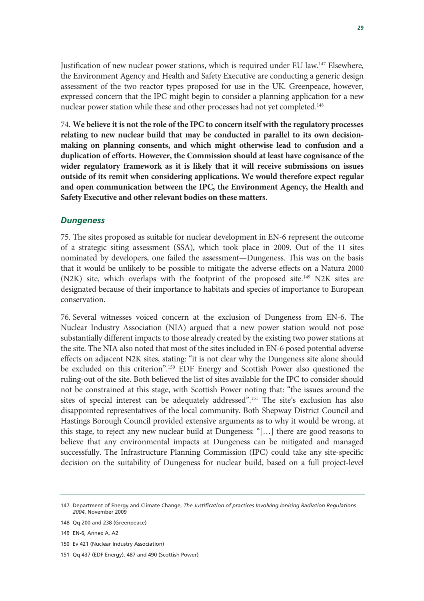Justification of new nuclear power stations, which is required under EU law.147 Elsewhere, the Environment Agency and Health and Safety Executive are conducting a generic design assessment of the two reactor types proposed for use in the UK. Greenpeace, however, expressed concern that the IPC might begin to consider a planning application for a new nuclear power station while these and other processes had not yet completed.<sup>148</sup>

74. **We believe it is not the role of the IPC to concern itself with the regulatory processes relating to new nuclear build that may be conducted in parallel to its own decisionmaking on planning consents, and which might otherwise lead to confusion and a duplication of efforts. However, the Commission should at least have cognisance of the wider regulatory framework as it is likely that it will receive submissions on issues outside of its remit when considering applications. We would therefore expect regular and open communication between the IPC, the Environment Agency, the Health and Safety Executive and other relevant bodies on these matters.** 

#### *Dungeness*

75. The sites proposed as suitable for nuclear development in EN-6 represent the outcome of a strategic siting assessment (SSA), which took place in 2009. Out of the 11 sites nominated by developers, one failed the assessment—Dungeness. This was on the basis that it would be unlikely to be possible to mitigate the adverse effects on a Natura 2000 (N2K) site, which overlaps with the footprint of the proposed site.<sup>149</sup> N2K sites are designated because of their importance to habitats and species of importance to European conservation.

76. Several witnesses voiced concern at the exclusion of Dungeness from EN-6. The Nuclear Industry Association (NIA) argued that a new power station would not pose substantially different impacts to those already created by the existing two power stations at the site. The NIA also noted that most of the sites included in EN-6 posed potential adverse effects on adjacent N2K sites, stating: "it is not clear why the Dungeness site alone should be excluded on this criterion".150 EDF Energy and Scottish Power also questioned the ruling-out of the site. Both believed the list of sites available for the IPC to consider should not be constrained at this stage, with Scottish Power noting that: "the issues around the sites of special interest can be adequately addressed".<sup>151</sup> The site's exclusion has also disappointed representatives of the local community. Both Shepway District Council and Hastings Borough Council provided extensive arguments as to why it would be wrong, at this stage, to reject any new nuclear build at Dungeness: "[…] there are good reasons to believe that any environmental impacts at Dungeness can be mitigated and managed successfully. The Infrastructure Planning Commission (IPC) could take any site-specific decision on the suitability of Dungeness for nuclear build, based on a full project-level

- 150 Ev 421 (Nuclear Industry Association)
- 151 Qq 437 (EDF Energy), 487 and 490 (Scottish Power)

<sup>147</sup> Department of Energy and Climate Change, *The Justification of practices Involving Ionising Radiation Regulations 2004*, November 2009

<sup>148</sup> Qq 200 and 238 (Greenpeace)

<sup>149</sup> EN-6, Annex A, A2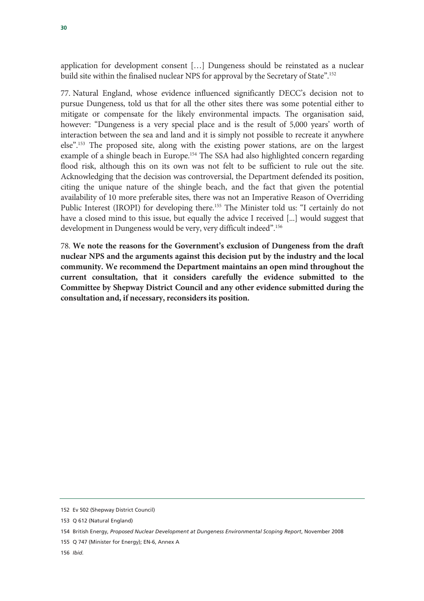application for development consent […] Dungeness should be reinstated as a nuclear build site within the finalised nuclear NPS for approval by the Secretary of State".152

77. Natural England, whose evidence influenced significantly DECC's decision not to pursue Dungeness, told us that for all the other sites there was some potential either to mitigate or compensate for the likely environmental impacts. The organisation said, however: "Dungeness is a very special place and is the result of 5,000 years' worth of interaction between the sea and land and it is simply not possible to recreate it anywhere else".153 The proposed site, along with the existing power stations, are on the largest example of a shingle beach in Europe.<sup>154</sup> The SSA had also highlighted concern regarding flood risk, although this on its own was not felt to be sufficient to rule out the site. Acknowledging that the decision was controversial, the Department defended its position, citing the unique nature of the shingle beach, and the fact that given the potential availability of 10 more preferable sites, there was not an Imperative Reason of Overriding Public Interest (IROPI) for developing there.<sup>155</sup> The Minister told us: "I certainly do not have a closed mind to this issue, but equally the advice I received [...] would suggest that development in Dungeness would be very, very difficult indeed".156

78. **We note the reasons for the Government's exclusion of Dungeness from the draft nuclear NPS and the arguments against this decision put by the industry and the local community. We recommend the Department maintains an open mind throughout the current consultation, that it considers carefully the evidence submitted to the Committee by Shepway District Council and any other evidence submitted during the consultation and, if necessary, reconsiders its position.** 

<sup>152</sup> Ev 502 (Shepway District Council)

<sup>153</sup> Q 612 (Natural England)

<sup>154</sup> British Energy, *Proposed Nuclear Development at Dungeness Environmental Scoping Report*, November 2008

<sup>155</sup> Q 747 (Minister for Energy); EN-6, Annex A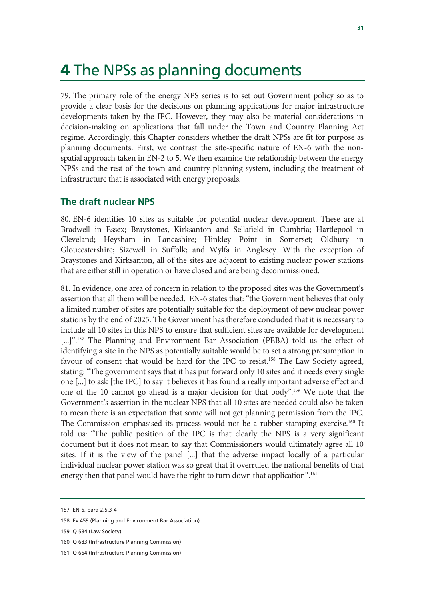### 4 The NPSs as planning documents

79. The primary role of the energy NPS series is to set out Government policy so as to provide a clear basis for the decisions on planning applications for major infrastructure developments taken by the IPC. However, they may also be material considerations in decision-making on applications that fall under the Town and Country Planning Act regime. Accordingly, this Chapter considers whether the draft NPSs are fit for purpose as planning documents. First, we contrast the site-specific nature of EN-6 with the nonspatial approach taken in EN-2 to 5. We then examine the relationship between the energy NPSs and the rest of the town and country planning system, including the treatment of infrastructure that is associated with energy proposals.

#### **The draft nuclear NPS**

80. EN-6 identifies 10 sites as suitable for potential nuclear development. These are at Bradwell in Essex; Braystones, Kirksanton and Sellafield in Cumbria; Hartlepool in Cleveland; Heysham in Lancashire; Hinkley Point in Somerset; Oldbury in Gloucestershire; Sizewell in Suffolk; and Wylfa in Anglesey. With the exception of Braystones and Kirksanton, all of the sites are adjacent to existing nuclear power stations that are either still in operation or have closed and are being decommissioned.

81. In evidence, one area of concern in relation to the proposed sites was the Government's assertion that all them will be needed. EN-6 states that: "the Government believes that only a limited number of sites are potentially suitable for the deployment of new nuclear power stations by the end of 2025. The Government has therefore concluded that it is necessary to include all 10 sites in this NPS to ensure that sufficient sites are available for development [...]".<sup>157</sup> The Planning and Environment Bar Association (PEBA) told us the effect of identifying a site in the NPS as potentially suitable would be to set a strong presumption in favour of consent that would be hard for the IPC to resist.158 The Law Society agreed, stating: "The government says that it has put forward only 10 sites and it needs every single one [...] to ask [the IPC] to say it believes it has found a really important adverse effect and one of the 10 cannot go ahead is a major decision for that body".159 We note that the Government's assertion in the nuclear NPS that all 10 sites are needed could also be taken to mean there is an expectation that some will not get planning permission from the IPC. The Commission emphasised its process would not be a rubber-stamping exercise.<sup>160</sup> It told us: "The public position of the IPC is that clearly the NPS is a very significant document but it does not mean to say that Commissioners would ultimately agree all 10 sites. If it is the view of the panel [...] that the adverse impact locally of a particular individual nuclear power station was so great that it overruled the national benefits of that energy then that panel would have the right to turn down that application".<sup>161</sup>

<sup>157</sup> EN-6, para 2.5.3-4

<sup>158</sup> Ev 459 (Planning and Environment Bar Association)

<sup>159</sup> Q 584 (Law Society)

<sup>160</sup> Q 683 (Infrastructure Planning Commission)

<sup>161</sup> Q 664 (Infrastructure Planning Commission)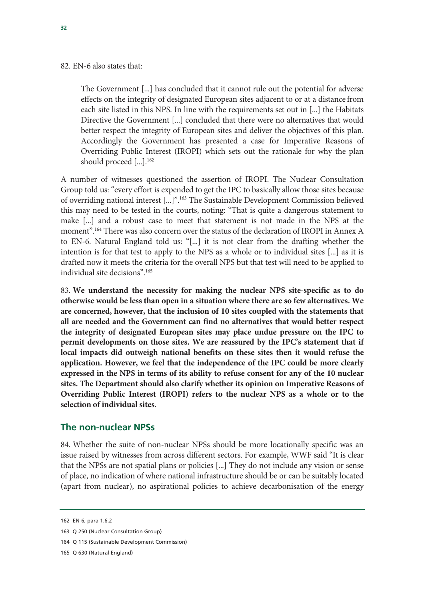#### 82. EN-6 also states that:

The Government [...] has concluded that it cannot rule out the potential for adverse effects on the integrity of designated European sites adjacent to or at a distance from each site listed in this NPS. In line with the requirements set out in [...] the Habitats Directive the Government [...] concluded that there were no alternatives that would better respect the integrity of European sites and deliver the objectives of this plan. Accordingly the Government has presented a case for Imperative Reasons of Overriding Public Interest (IROPI) which sets out the rationale for why the plan should proceed [...].<sup>162</sup>

A number of witnesses questioned the assertion of IROPI. The Nuclear Consultation Group told us: "every effort is expended to get the IPC to basically allow those sites because of overriding national interest [...]".163 The Sustainable Development Commission believed this may need to be tested in the courts, noting: "That is quite a dangerous statement to make [...] and a robust case to meet that statement is not made in the NPS at the moment".164 There was also concern over the status of the declaration of IROPI in Annex A to EN-6. Natural England told us: "[...] it is not clear from the drafting whether the intention is for that test to apply to the NPS as a whole or to individual sites [...] as it is drafted now it meets the criteria for the overall NPS but that test will need to be applied to individual site decisions".165

83. **We understand the necessity for making the nuclear NPS site-specific as to do otherwise would be less than open in a situation where there are so few alternatives. We are concerned, however, that the inclusion of 10 sites coupled with the statements that all are needed and the Government can find no alternatives that would better respect the integrity of designated European sites may place undue pressure on the IPC to permit developments on those sites. We are reassured by the IPC's statement that if local impacts did outweigh national benefits on these sites then it would refuse the application. However, we feel that the independence of the IPC could be more clearly expressed in the NPS in terms of its ability to refuse consent for any of the 10 nuclear sites. The Department should also clarify whether its opinion on Imperative Reasons of Overriding Public Interest (IROPI) refers to the nuclear NPS as a whole or to the selection of individual sites.**

#### **The non-nuclear NPSs**

84. Whether the suite of non-nuclear NPSs should be more locationally specific was an issue raised by witnesses from across different sectors. For example, WWF said "It is clear that the NPSs are not spatial plans or policies [...] They do not include any vision or sense of place, no indication of where national infrastructure should be or can be suitably located (apart from nuclear), no aspirational policies to achieve decarbonisation of the energy

<sup>162</sup> EN-6, para 1.6.2

<sup>163</sup> Q 250 (Nuclear Consultation Group)

<sup>164</sup> Q 115 (Sustainable Development Commission)

<sup>165</sup> Q 630 (Natural England)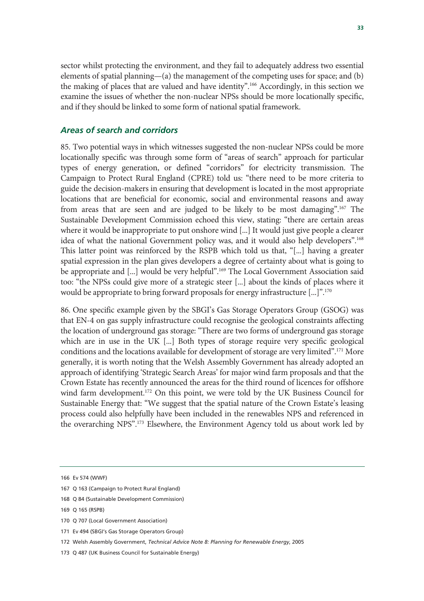sector whilst protecting the environment, and they fail to adequately address two essential elements of spatial planning—(a) the management of the competing uses for space; and (b) the making of places that are valued and have identity".166 Accordingly, in this section we examine the issues of whether the non-nuclear NPSs should be more locationally specific, and if they should be linked to some form of national spatial framework.

#### *Areas of search and corridors*

85. Two potential ways in which witnesses suggested the non-nuclear NPSs could be more locationally specific was through some form of "areas of search" approach for particular types of energy generation, or defined "corridors" for electricity transmission. The Campaign to Protect Rural England (CPRE) told us: "there need to be more criteria to guide the decision-makers in ensuring that development is located in the most appropriate locations that are beneficial for economic, social and environmental reasons and away from areas that are seen and are judged to be likely to be most damaging".167 The Sustainable Development Commission echoed this view, stating: "there are certain areas where it would be inappropriate to put onshore wind [...] It would just give people a clearer idea of what the national Government policy was, and it would also help developers".168 This latter point was reinforced by the RSPB which told us that, "[...] having a greater spatial expression in the plan gives developers a degree of certainty about what is going to be appropriate and [...] would be very helpful".<sup>169</sup> The Local Government Association said too: "the NPSs could give more of a strategic steer [...] about the kinds of places where it would be appropriate to bring forward proposals for energy infrastructure [...]".170

86. One specific example given by the SBGI's Gas Storage Operators Group (GSOG) was that EN-4 on gas supply infrastructure could recognise the geological constraints affecting the location of underground gas storage: "There are two forms of underground gas storage which are in use in the UK [...] Both types of storage require very specific geological conditions and the locations available for development of storage are very limited".171 More generally, it is worth noting that the Welsh Assembly Government has already adopted an approach of identifying 'Strategic Search Areas' for major wind farm proposals and that the Crown Estate has recently announced the areas for the third round of licences for offshore wind farm development.<sup>172</sup> On this point, we were told by the UK Business Council for Sustainable Energy that: "We suggest that the spatial nature of the Crown Estate's leasing process could also helpfully have been included in the renewables NPS and referenced in the overarching NPS".173 Elsewhere, the Environment Agency told us about work led by

168 Q 84 (Sustainable Development Commission)

172 Welsh Assembly Government, *Technical Advice Note 8: Planning for Renewable Energy*, 2005

<sup>166</sup> Ev 574 (WWF)

<sup>167</sup> Q 163 (Campaign to Protect Rural England)

<sup>169</sup> Q 165 (RSPB)

<sup>170</sup> Q 707 (Local Government Association)

<sup>171</sup> Ev 494 (SBGI's Gas Storage Operators Group)

<sup>173</sup> Q 487 (UK Business Council for Sustainable Energy)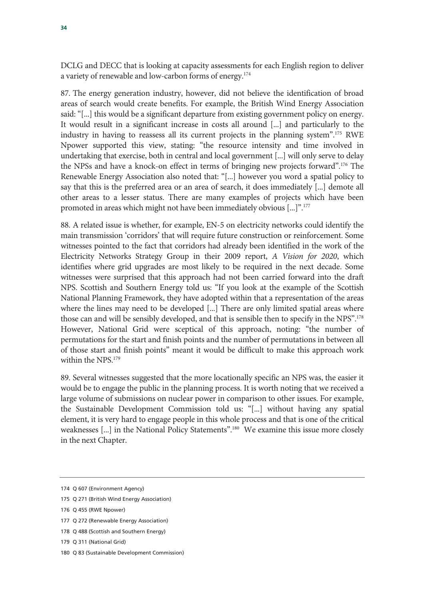DCLG and DECC that is looking at capacity assessments for each English region to deliver a variety of renewable and low-carbon forms of energy.174

87. The energy generation industry, however, did not believe the identification of broad areas of search would create benefits. For example, the British Wind Energy Association said: "[...] this would be a significant departure from existing government policy on energy. It would result in a significant increase in costs all around [...] and particularly to the industry in having to reassess all its current projects in the planning system".175 RWE Npower supported this view, stating: "the resource intensity and time involved in undertaking that exercise, both in central and local government [...] will only serve to delay the NPSs and have a knock-on effect in terms of bringing new projects forward".176 The Renewable Energy Association also noted that: "[...] however you word a spatial policy to say that this is the preferred area or an area of search, it does immediately [...] demote all other areas to a lesser status. There are many examples of projects which have been promoted in areas which might not have been immediately obvious [...]".177

88. A related issue is whether, for example, EN-5 on electricity networks could identify the main transmission 'corridors' that will require future construction or reinforcement. Some witnesses pointed to the fact that corridors had already been identified in the work of the Electricity Networks Strategy Group in their 2009 report, *A Vision for 2020*, which identifies where grid upgrades are most likely to be required in the next decade. Some witnesses were surprised that this approach had not been carried forward into the draft NPS. Scottish and Southern Energy told us: "If you look at the example of the Scottish National Planning Framework, they have adopted within that a representation of the areas where the lines may need to be developed [...] There are only limited spatial areas where those can and will be sensibly developed, and that is sensible then to specify in the NPS".178 However, National Grid were sceptical of this approach, noting: "the number of permutations for the start and finish points and the number of permutations in between all of those start and finish points" meant it would be difficult to make this approach work within the NPS.<sup>179</sup>

89. Several witnesses suggested that the more locationally specific an NPS was, the easier it would be to engage the public in the planning process. It is worth noting that we received a large volume of submissions on nuclear power in comparison to other issues. For example, the Sustainable Development Commission told us: "[...] without having any spatial element, it is very hard to engage people in this whole process and that is one of the critical weaknesses [...] in the National Policy Statements".<sup>180</sup> We examine this issue more closely in the next Chapter.

<sup>174</sup> Q 607 (Environment Agency)

<sup>175</sup> Q 271 (British Wind Energy Association)

<sup>176</sup> Q 455 (RWE Npower)

<sup>177</sup> Q 272 (Renewable Energy Association)

<sup>178</sup> Q 488 (Scottish and Southern Energy)

<sup>179</sup> Q 311 (National Grid)

<sup>180</sup> Q 83 (Sustainable Development Commission)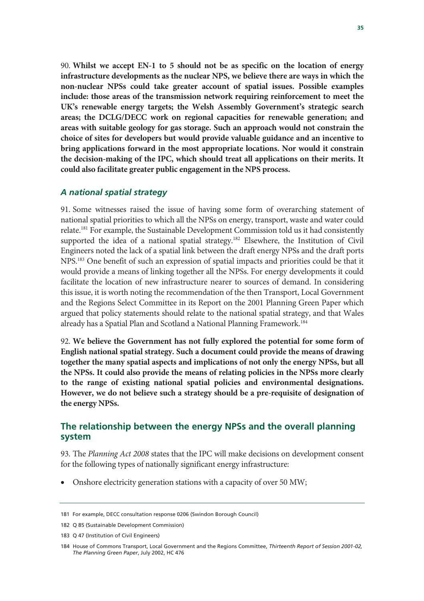90. **Whilst we accept EN-1 to 5 should not be as specific on the location of energy infrastructure developments as the nuclear NPS, we believe there are ways in which the non-nuclear NPSs could take greater account of spatial issues. Possible examples include: those areas of the transmission network requiring reinforcement to meet the UK's renewable energy targets; the Welsh Assembly Government's strategic search areas; the DCLG/DECC work on regional capacities for renewable generation; and areas with suitable geology for gas storage. Such an approach would not constrain the choice of sites for developers but would provide valuable guidance and an incentive to bring applications forward in the most appropriate locations. Nor would it constrain the decision-making of the IPC, which should treat all applications on their merits. It could also facilitate greater public engagement in the NPS process.** 

#### *A national spatial strategy*

91. Some witnesses raised the issue of having some form of overarching statement of national spatial priorities to which all the NPSs on energy, transport, waste and water could relate.181 For example, the Sustainable Development Commission told us it had consistently supported the idea of a national spatial strategy.<sup>182</sup> Elsewhere, the Institution of Civil Engineers noted the lack of a spatial link between the draft energy NPSs and the draft ports NPS.183 One benefit of such an expression of spatial impacts and priorities could be that it would provide a means of linking together all the NPSs. For energy developments it could facilitate the location of new infrastructure nearer to sources of demand. In considering this issue, it is worth noting the recommendation of the then Transport, Local Government and the Regions Select Committee in its Report on the 2001 Planning Green Paper which argued that policy statements should relate to the national spatial strategy, and that Wales already has a Spatial Plan and Scotland a National Planning Framework.<sup>184</sup>

92. **We believe the Government has not fully explored the potential for some form of English national spatial strategy. Such a document could provide the means of drawing together the many spatial aspects and implications of not only the energy NPSs, but all the NPSs. It could also provide the means of relating policies in the NPSs more clearly to the range of existing national spatial policies and environmental designations. However, we do not believe such a strategy should be a pre-requisite of designation of the energy NPSs.**

#### **The relationship between the energy NPSs and the overall planning system**

93. The *Planning Act 2008* states that the IPC will make decisions on development consent for the following types of nationally significant energy infrastructure:

• Onshore electricity generation stations with a capacity of over 50 MW;

<sup>181</sup> For example, DECC consultation response 0206 (Swindon Borough Council)

<sup>182</sup> Q 85 (Sustainable Development Commission)

<sup>183</sup> Q 47 (Institution of Civil Engineers)

<sup>184</sup> House of Commons Transport, Local Government and the Regions Committee, *Thirteenth Report of Session 2001-02, The Planning Green Paper*, July 2002, HC 476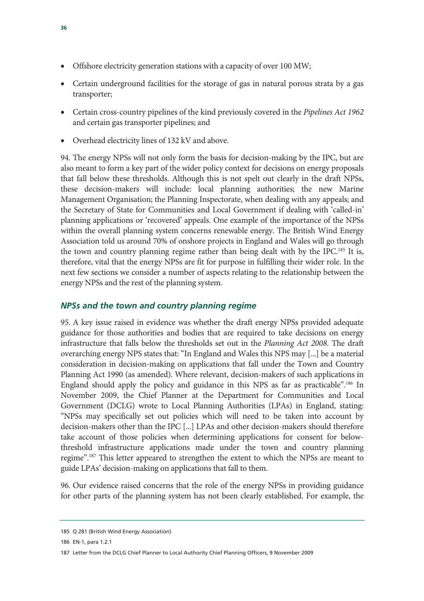- Offshore electricity generation stations with a capacity of over 100 MW;
- Certain underground facilities for the storage of gas in natural porous strata by a gas transporter;
- Certain cross-country pipelines of the kind previously covered in the *Pipelines Act 1962* and certain gas transporter pipelines; and
- Overhead electricity lines of 132 kV and above.

94. The energy NPSs will not only form the basis for decision-making by the IPC, but are also meant to form a key part of the wider policy context for decisions on energy proposals that fall below these thresholds. Although this is not spelt out clearly in the draft NPSs, these decision-makers will include: local planning authorities; the new Marine Management Organisation; the Planning Inspectorate, when dealing with any appeals; and the Secretary of State for Communities and Local Government if dealing with 'called-in' planning applications or 'recovered' appeals. One example of the importance of the NPSs within the overall planning system concerns renewable energy. The British Wind Energy Association told us around 70% of onshore projects in England and Wales will go through the town and country planning regime rather than being dealt with by the IPC.<sup>185</sup> It is, therefore, vital that the energy NPSs are fit for purpose in fulfilling their wider role. In the next few sections we consider a number of aspects relating to the relationship between the energy NPSs and the rest of the planning system.

#### *NPSs and the town and country planning regime*

95. A key issue raised in evidence was whether the draft energy NPSs provided adequate guidance for those authorities and bodies that are required to take decisions on energy infrastructure that falls below the thresholds set out in the *Planning Act 2008*. The draft overarching energy NPS states that: "In England and Wales this NPS may [...] be a material consideration in decision-making on applications that fall under the Town and Country Planning Act 1990 (as amended). Where relevant, decision-makers of such applications in England should apply the policy and guidance in this NPS as far as practicable".186 In November 2009, the Chief Planner at the Department for Communities and Local Government (DCLG) wrote to Local Planning Authorities (LPAs) in England, stating: "NPSs may specifically set out policies which will need to be taken into account by decision-makers other than the IPC [...] LPAs and other decision-makers should therefore take account of those policies when determining applications for consent for belowthreshold infrastructure applications made under the town and country planning regime".187 This letter appeared to strengthen the extent to which the NPSs are meant to guide LPAs' decision-making on applications that fall to them.

96. Our evidence raised concerns that the role of the energy NPSs in providing guidance for other parts of the planning system has not been clearly established. For example, the

<sup>185</sup> Q 281 (British Wind Energy Association)

<sup>186</sup> EN-1, para 1.2.1

<sup>187</sup> Letter from the DCLG Chief Planner to Local Authority Chief Planning Officers, 9 November 2009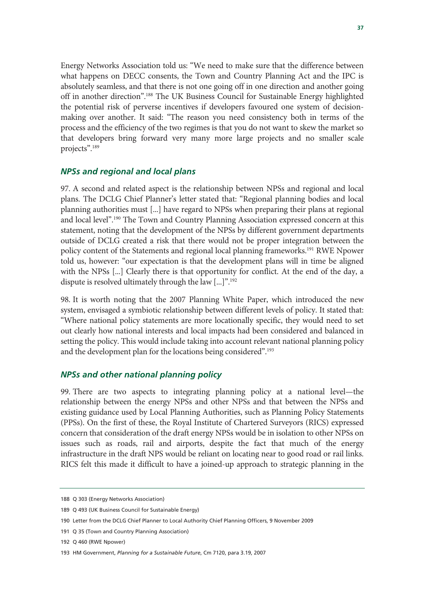Energy Networks Association told us: "We need to make sure that the difference between what happens on DECC consents, the Town and Country Planning Act and the IPC is absolutely seamless, and that there is not one going off in one direction and another going off in another direction".188 The UK Business Council for Sustainable Energy highlighted the potential risk of perverse incentives if developers favoured one system of decisionmaking over another. It said: "The reason you need consistency both in terms of the process and the efficiency of the two regimes is that you do not want to skew the market so that developers bring forward very many more large projects and no smaller scale projects".189

#### *NPSs and regional and local plans*

97. A second and related aspect is the relationship between NPSs and regional and local plans. The DCLG Chief Planner's letter stated that: "Regional planning bodies and local planning authorities must [...] have regard to NPSs when preparing their plans at regional and local level".190 The Town and Country Planning Association expressed concern at this statement, noting that the development of the NPSs by different government departments outside of DCLG created a risk that there would not be proper integration between the policy content of the Statements and regional local planning frameworks.191 RWE Npower told us, however: "our expectation is that the development plans will in time be aligned with the NPSs [...] Clearly there is that opportunity for conflict. At the end of the day, a dispute is resolved ultimately through the law [...]".192

98. It is worth noting that the 2007 Planning White Paper, which introduced the new system, envisaged a symbiotic relationship between different levels of policy. It stated that: "Where national policy statements are more locationally specific, they would need to set out clearly how national interests and local impacts had been considered and balanced in setting the policy. This would include taking into account relevant national planning policy and the development plan for the locations being considered".<sup>193</sup>

#### *NPSs and other national planning policy*

99. There are two aspects to integrating planning policy at a national level—the relationship between the energy NPSs and other NPSs and that between the NPSs and existing guidance used by Local Planning Authorities, such as Planning Policy Statements (PPSs). On the first of these, the Royal Institute of Chartered Surveyors (RICS) expressed concern that consideration of the draft energy NPSs would be in isolation to other NPSs on issues such as roads, rail and airports, despite the fact that much of the energy infrastructure in the draft NPS would be reliant on locating near to good road or rail links. RICS felt this made it difficult to have a joined-up approach to strategic planning in the

<sup>188</sup> Q 303 (Energy Networks Association)

<sup>189</sup> Q 493 (UK Business Council for Sustainable Energy)

<sup>190</sup> Letter from the DCLG Chief Planner to Local Authority Chief Planning Officers, 9 November 2009

<sup>191</sup> Q 35 (Town and Country Planning Association)

<sup>192</sup> Q 460 (RWE Npower)

<sup>193</sup> HM Government, *Planning for a Sustainable Future*, Cm 7120, para 3.19, 2007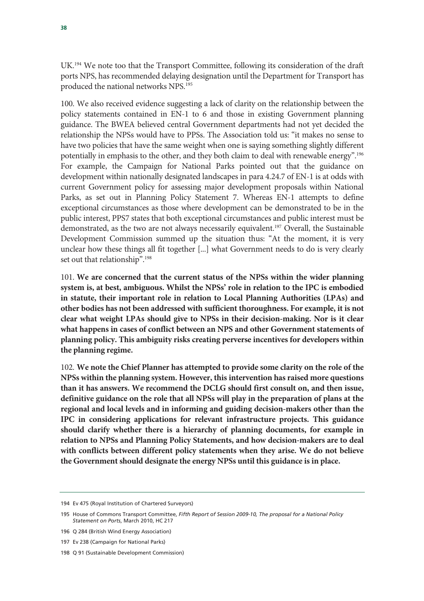UK.194 We note too that the Transport Committee, following its consideration of the draft ports NPS, has recommended delaying designation until the Department for Transport has produced the national networks NPS.195

100. We also received evidence suggesting a lack of clarity on the relationship between the policy statements contained in EN-1 to 6 and those in existing Government planning guidance. The BWEA believed central Government departments had not yet decided the relationship the NPSs would have to PPSs. The Association told us: "it makes no sense to have two policies that have the same weight when one is saying something slightly different potentially in emphasis to the other, and they both claim to deal with renewable energy".196 For example, the Campaign for National Parks pointed out that the guidance on development within nationally designated landscapes in para 4.24.7 of EN-1 is at odds with current Government policy for assessing major development proposals within National Parks, as set out in Planning Policy Statement 7. Whereas EN-1 attempts to define exceptional circumstances as those where development can be demonstrated to be in the public interest, PPS7 states that both exceptional circumstances and public interest must be demonstrated, as the two are not always necessarily equivalent.197 Overall, the Sustainable Development Commission summed up the situation thus: "At the moment, it is very unclear how these things all fit together [...] what Government needs to do is very clearly set out that relationship".<sup>198</sup>

101. **We are concerned that the current status of the NPSs within the wider planning system is, at best, ambiguous. Whilst the NPSs' role in relation to the IPC is embodied in statute, their important role in relation to Local Planning Authorities (LPAs) and other bodies has not been addressed with sufficient thoroughness. For example, it is not clear what weight LPAs should give to NPSs in their decision-making. Nor is it clear what happens in cases of conflict between an NPS and other Government statements of planning policy. This ambiguity risks creating perverse incentives for developers within the planning regime.** 

102. **We note the Chief Planner has attempted to provide some clarity on the role of the NPSs within the planning system. However, this intervention has raised more questions than it has answers. We recommend the DCLG should first consult on, and then issue, definitive guidance on the role that all NPSs will play in the preparation of plans at the regional and local levels and in informing and guiding decision-makers other than the IPC in considering applications for relevant infrastructure projects. This guidance should clarify whether there is a hierarchy of planning documents, for example in relation to NPSs and Planning Policy Statements, and how decision-makers are to deal with conflicts between different policy statements when they arise. We do not believe the Government should designate the energy NPSs until this guidance is in place.**

<sup>194</sup> Ev 475 (Royal Institution of Chartered Surveyors)

<sup>195</sup> House of Commons Transport Committee, *Fifth Report of Session 2009-10, The proposal for a National Policy Statement on Ports*, March 2010, HC 217

<sup>196</sup> Q 284 (British Wind Energy Association)

<sup>197</sup> Ev 238 (Campaign for National Parks)

<sup>198</sup> Q 91 (Sustainable Development Commission)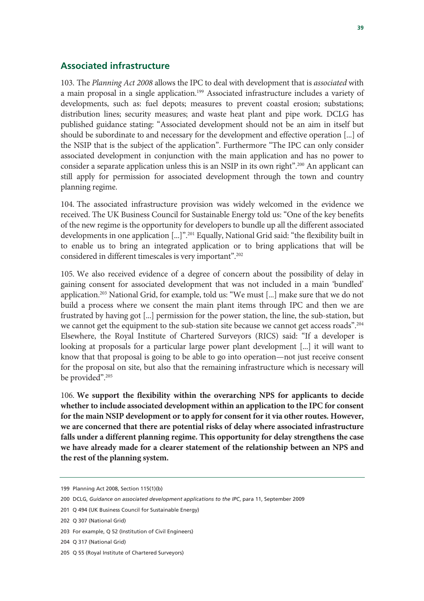#### **Associated infrastructure**

103. The *Planning Act 2008* allows the IPC to deal with development that is *associated* with a main proposal in a single application.<sup>199</sup> Associated infrastructure includes a variety of developments, such as: fuel depots; measures to prevent coastal erosion; substations; distribution lines; security measures; and waste heat plant and pipe work. DCLG has published guidance stating: "Associated development should not be an aim in itself but should be subordinate to and necessary for the development and effective operation [...] of the NSIP that is the subject of the application". Furthermore "The IPC can only consider associated development in conjunction with the main application and has no power to consider a separate application unless this is an NSIP in its own right".<sup>200</sup> An applicant can still apply for permission for associated development through the town and country planning regime.

104. The associated infrastructure provision was widely welcomed in the evidence we received. The UK Business Council for Sustainable Energy told us: "One of the key benefits of the new regime is the opportunity for developers to bundle up all the different associated developments in one application [...]".201 Equally, National Grid said: "the flexibility built in to enable us to bring an integrated application or to bring applications that will be considered in different timescales is very important".202

105. We also received evidence of a degree of concern about the possibility of delay in gaining consent for associated development that was not included in a main 'bundled' application.<sup>203</sup> National Grid, for example, told us: "We must [...] make sure that we do not build a process where we consent the main plant items through IPC and then we are frustrated by having got [...] permission for the power station, the line, the sub-station, but we cannot get the equipment to the sub-station site because we cannot get access roads".<sup>204</sup> Elsewhere, the Royal Institute of Chartered Surveyors (RICS) said: "If a developer is looking at proposals for a particular large power plant development [...] it will want to know that that proposal is going to be able to go into operation—not just receive consent for the proposal on site, but also that the remaining infrastructure which is necessary will be provided".<sup>205</sup>

106. **We support the flexibility within the overarching NPS for applicants to decide whether to include associated development within an application to the IPC for consent for the main NSIP development or to apply for consent for it via other routes. However, we are concerned that there are potential risks of delay where associated infrastructure falls under a different planning regime. This opportunity for delay strengthens the case we have already made for a clearer statement of the relationship between an NPS and the rest of the planning system.** 

<sup>199</sup> Planning Act 2008, Section 115(1)(b)

<sup>200</sup> DCLG, *Guidance on associated development applications to the IPC*, para 11, September 2009

<sup>201</sup> Q 494 (UK Business Council for Sustainable Energy)

<sup>202</sup> Q 307 (National Grid)

<sup>203</sup> For example, Q 52 (Institution of Civil Engineers)

<sup>204</sup> Q 317 (National Grid)

<sup>205</sup> Q 55 (Royal Institute of Chartered Surveyors)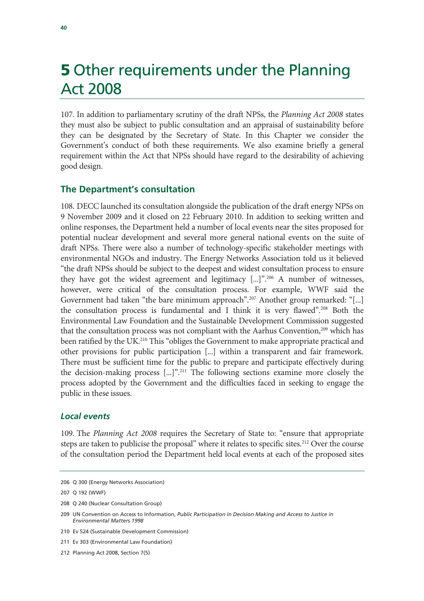### **5** Other requirements under the Planning Act 2008

107. In addition to parliamentary scrutiny of the draft NPSs, the *Planning Act 2008* states they must also be subject to public consultation and an appraisal of sustainability before they can be designated by the Secretary of State. In this Chapter we consider the Government's conduct of both these requirements. We also examine briefly a general requirement within the Act that NPSs should have regard to the desirability of achieving good design.

#### **The Department's consultation**

108. DECC launched its consultation alongside the publication of the draft energy NPSs on 9 November 2009 and it closed on 22 February 2010. In addition to seeking written and online responses, the Department held a number of local events near the sites proposed for potential nuclear development and several more general national events on the suite of draft NPSs. There were also a number of technology-specific stakeholder meetings with environmental NGOs and industry. The Energy Networks Association told us it believed "the draft NPSs should be subject to the deepest and widest consultation process to ensure they have got the widest agreement and legitimacy [...]".206 A number of witnesses, however, were critical of the consultation process. For example, WWF said the Government had taken "the bare minimum approach".<sup>207</sup> Another group remarked: "[...] the consultation process is fundamental and I think it is very flawed".208 Both the Environmental Law Foundation and the Sustainable Development Commission suggested that the consultation process was not compliant with the Aarhus Convention,<sup>209</sup> which has been ratified by the UK.<sup>210</sup> This "obliges the Government to make appropriate practical and other provisions for public participation [...] within a transparent and fair framework. There must be sufficient time for the public to prepare and participate effectively during the decision-making process [...]".211 The following sections examine more closely the process adopted by the Government and the difficulties faced in seeking to engage the public in these issues.

#### *Local events*

109. The *Planning Act 2008* requires the Secretary of State to: "ensure that appropriate steps are taken to publicise the proposal" where it relates to specific sites.<sup>212</sup> Over the course of the consultation period the Department held local events at each of the proposed sites

<sup>206</sup> Q 300 (Energy Networks Association)

<sup>207</sup> Q 192 (WWF)

<sup>208</sup> Q 240 (Nuclear Consultation Group)

<sup>209</sup> UN Convention on Access to Information, *Public Participation in Decision Making and Access to Justice in Environmental Matters 1998*

<sup>210</sup> Ev 524 (Sustainable Development Commission)

<sup>211</sup> Ev 303 (Environmental Law Foundation)

<sup>212</sup> Planning Act 2008, Section 7(5)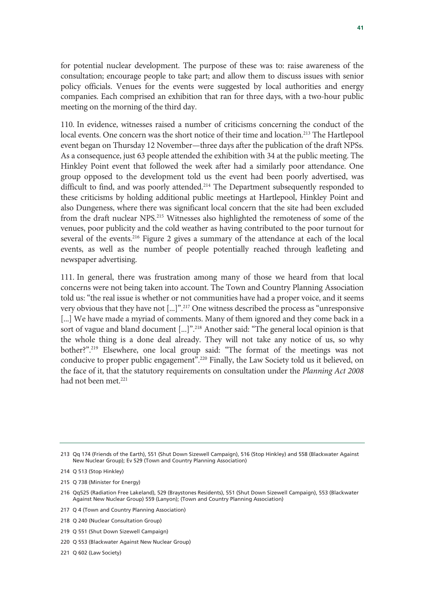for potential nuclear development. The purpose of these was to: raise awareness of the consultation; encourage people to take part; and allow them to discuss issues with senior policy officials. Venues for the events were suggested by local authorities and energy companies. Each comprised an exhibition that ran for three days, with a two-hour public meeting on the morning of the third day.

110. In evidence, witnesses raised a number of criticisms concerning the conduct of the local events. One concern was the short notice of their time and location.<sup>213</sup> The Hartlepool event began on Thursday 12 November—three days after the publication of the draft NPSs. As a consequence, just 63 people attended the exhibition with 34 at the public meeting. The Hinkley Point event that followed the week after had a similarly poor attendance. One group opposed to the development told us the event had been poorly advertised, was difficult to find, and was poorly attended.<sup>214</sup> The Department subsequently responded to these criticisms by holding additional public meetings at Hartlepool, Hinkley Point and also Dungeness, where there was significant local concern that the site had been excluded from the draft nuclear NPS.215 Witnesses also highlighted the remoteness of some of the venues, poor publicity and the cold weather as having contributed to the poor turnout for several of the events.<sup>216</sup> Figure 2 gives a summary of the attendance at each of the local events, as well as the number of people potentially reached through leafleting and newspaper advertising.

111. In general, there was frustration among many of those we heard from that local concerns were not being taken into account. The Town and Country Planning Association told us: "the real issue is whether or not communities have had a proper voice, and it seems very obvious that they have not [...]".217 One witness described the process as "unresponsive [...] We have made a myriad of comments. Many of them ignored and they come back in a sort of vague and bland document [...]".<sup>218</sup> Another said: "The general local opinion is that the whole thing is a done deal already. They will not take any notice of us, so why bother?".219 Elsewhere, one local group said: "The format of the meetings was not conducive to proper public engagement".<sup>220</sup> Finally, the Law Society told us it believed, on the face of it, that the statutory requirements on consultation under the *Planning Act 2008* had not been met.<sup>221</sup>

220 Q 553 (Blackwater Against New Nuclear Group)

<sup>213</sup> Qq 174 (Friends of the Earth), 551 (Shut Down Sizewell Campaign), 516 (Stop Hinkley) and 558 (Blackwater Against New Nuclear Group); Ev 529 (Town and Country Planning Association)

<sup>214</sup> Q 513 (Stop Hinkley)

<sup>215</sup> Q 738 (Minister for Energy)

<sup>216</sup> Qq525 (Radiation Free Lakeland), 529 (Braystones Residents), 551 (Shut Down Sizewell Campaign), 553 (Blackwater Against New Nuclear Group) 559 (Lanyon); (Town and Country Planning Association)

<sup>217</sup> Q 4 (Town and Country Planning Association)

<sup>218</sup> Q 240 (Nuclear Consultation Group)

<sup>219</sup> Q 551 (Shut Down Sizewell Campaign)

<sup>221</sup> Q 602 (Law Society)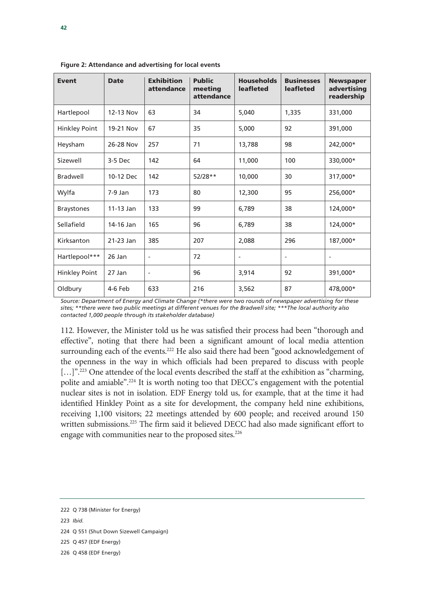| <b>Event</b>         | <b>Date</b> | <b>Exhibition</b><br>attendance | <b>Public</b><br>meeting<br>attendance | <b>Households</b><br><b>leafleted</b> | <b>Businesses</b><br><b>leafleted</b> | <b>Newspaper</b><br>advertising<br>readership |
|----------------------|-------------|---------------------------------|----------------------------------------|---------------------------------------|---------------------------------------|-----------------------------------------------|
| Hartlepool           | 12-13 Nov   | 63                              | 34                                     | 5,040                                 | 1,335                                 | 331,000                                       |
| <b>Hinkley Point</b> | 19-21 Nov   | 67                              | 35                                     | 5,000                                 | 92                                    | 391,000                                       |
| Heysham              | 26-28 Nov   | 257                             | 71                                     | 13,788                                | 98                                    | 242,000*                                      |
| Sizewell             | $3-5$ Dec   | 142                             | 64                                     | 11,000                                | 100                                   | 330,000*                                      |
| <b>Bradwell</b>      | 10-12 Dec   | 142                             | $52/28**$                              | 10,000                                | 30                                    | 317,000*                                      |
| Wylfa                | $7-9$ Jan   | 173                             | 80                                     | 12,300                                | 95                                    | 256,000*                                      |
| <b>Braystones</b>    | $11-13$ Jan | 133                             | 99                                     | 6,789                                 | 38                                    | 124,000*                                      |
| Sellafield           | 14-16 Jan   | 165                             | 96                                     | 6,789                                 | 38                                    | 124,000*                                      |
| Kirksanton           | 21-23 Jan   | 385                             | 207                                    | 2,088                                 | 296                                   | 187,000*                                      |
| Hartlepool***        | 26 Jan      | $\overline{a}$                  | 72                                     | $\overline{\phantom{a}}$              | $\overline{\phantom{a}}$              | $\overline{\phantom{a}}$                      |
| <b>Hinkley Point</b> | 27 Jan      | $\overline{a}$                  | 96                                     | 3,914                                 | 92                                    | 391,000*                                      |
| Oldbury              | 4-6 Feb     | 633                             | 216                                    | 3,562                                 | 87                                    | 478,000*                                      |

**Figure 2: Attendance and advertising for local events** 

*Source: Department of Energy and Climate Change (\*there were two rounds of newspaper advertising for these sites; \*\*there were two public meetings at different venues for the Bradwell site; \*\*\*The local authority also contacted 1,000 people through its stakeholder database)* 

112. However, the Minister told us he was satisfied their process had been "thorough and effective", noting that there had been a significant amount of local media attention surrounding each of the events.<sup>222</sup> He also said there had been "good acknowledgement of the openness in the way in which officials had been prepared to discuss with people [...]".<sup>223</sup> One attendee of the local events described the staff at the exhibition as "charming," polite and amiable".224 It is worth noting too that DECC's engagement with the potential nuclear sites is not in isolation. EDF Energy told us, for example, that at the time it had identified Hinkley Point as a site for development, the company held nine exhibitions, receiving 1,100 visitors; 22 meetings attended by 600 people; and received around 150 written submissions.<sup>225</sup> The firm said it believed DECC had also made significant effort to engage with communities near to the proposed sites.<sup>226</sup>

<sup>222</sup> Q 738 (Minister for Energy) 223 *Ibid.*  224 Q 551 (Shut Down Sizewell Campaign) 225 Q 457 (EDF Energy) 226 Q 458 (EDF Energy)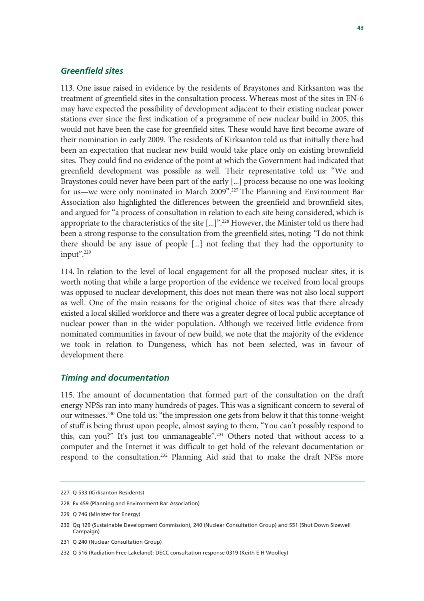#### *Greenfield sites*

113. One issue raised in evidence by the residents of Braystones and Kirksanton was the treatment of greenfield sites in the consultation process. Whereas most of the sites in EN-6 may have expected the possibility of development adjacent to their existing nuclear power stations ever since the first indication of a programme of new nuclear build in 2005, this would not have been the case for greenfield sites. These would have first become aware of their nomination in early 2009. The residents of Kirksanton told us that initially there had been an expectation that nuclear new build would take place only on existing brownfield sites. They could find no evidence of the point at which the Government had indicated that greenfield development was possible as well. Their representative told us: "We and Braystones could never have been part of the early [...] process because no one was looking for us—we were only nominated in March 2009".<sup>227</sup> The Planning and Environment Bar Association also highlighted the differences between the greenfield and brownfield sites, and argued for "a process of consultation in relation to each site being considered, which is appropriate to the characteristics of the site [...]".<sup>228</sup> However, the Minister told us there had been a strong response to the consultation from the greenfield sites, noting: "I do not think there should be any issue of people [...] not feeling that they had the opportunity to input".<sup>229</sup>

114. In relation to the level of local engagement for all the proposed nuclear sites, it is worth noting that while a large proportion of the evidence we received from local groups was opposed to nuclear development, this does not mean there was not also local support as well. One of the main reasons for the original choice of sites was that there already existed a local skilled workforce and there was a greater degree of local public acceptance of nuclear power than in the wider population. Although we received little evidence from nominated communities in favour of new build, we note that the majority of the evidence we took in relation to Dungeness, which has not been selected, was in favour of development there.

#### *Timing and documentation*

115. The amount of documentation that formed part of the consultation on the draft energy NPSs ran into many hundreds of pages. This was a significant concern to several of our witnesses.<sup>230</sup> One told us: "the impression one gets from below it that this tonne-weight of stuff is being thrust upon people, almost saying to them, "You can't possibly respond to this, can you?" It's just too unmanageable".231 Others noted that without access to a computer and the Internet it was difficult to get hold of the relevant documentation or respond to the consultation.232 Planning Aid said that to make the draft NPSs more

<sup>227</sup> Q 533 (Kirksanton Residents)

<sup>228</sup> Ev 459 (Planning and Environment Bar Association)

<sup>229</sup> Q 746 (Minister for Energy)

<sup>230</sup> Qq 129 (Sustainable Development Commission), 240 (Nuclear Consultation Group) and 551 (Shut Down Sizewell Campaign)

<sup>231</sup> Q 240 (Nuclear Consultation Group)

<sup>232</sup> Q 516 (Radiation Free Lakeland); DECC consultation response 0319 (Keith E H Woolley)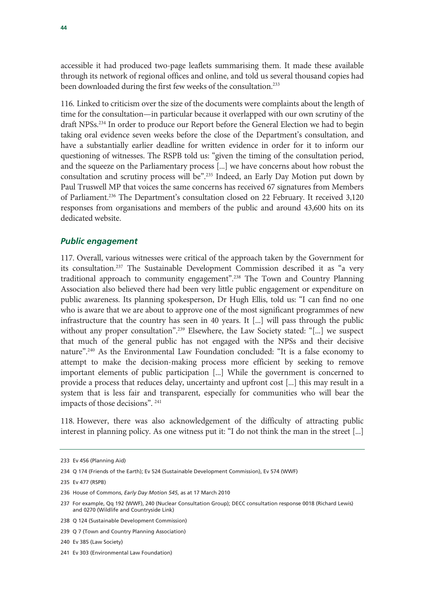accessible it had produced two-page leaflets summarising them. It made these available through its network of regional offices and online, and told us several thousand copies had been downloaded during the first few weeks of the consultation.<sup>233</sup>

116. Linked to criticism over the size of the documents were complaints about the length of time for the consultation—in particular because it overlapped with our own scrutiny of the draft NPSs.234 In order to produce our Report before the General Election we had to begin taking oral evidence seven weeks before the close of the Department's consultation, and have a substantially earlier deadline for written evidence in order for it to inform our questioning of witnesses. The RSPB told us: "given the timing of the consultation period, and the squeeze on the Parliamentary process [...] we have concerns about how robust the consultation and scrutiny process will be".<sup>235</sup> Indeed, an Early Day Motion put down by Paul Truswell MP that voices the same concerns has received 67 signatures from Members of Parliament.236 The Department's consultation closed on 22 February. It received 3,120 responses from organisations and members of the public and around 43,600 hits on its dedicated website.

#### *Public engagement*

117. Overall, various witnesses were critical of the approach taken by the Government for its consultation.237 The Sustainable Development Commission described it as "a very traditional approach to community engagement".<sup>238</sup> The Town and Country Planning Association also believed there had been very little public engagement or expenditure on public awareness. Its planning spokesperson, Dr Hugh Ellis, told us: "I can find no one who is aware that we are about to approve one of the most significant programmes of new infrastructure that the country has seen in 40 years. It [...] will pass through the public without any proper consultation".<sup>239</sup> Elsewhere, the Law Society stated: "[...] we suspect that much of the general public has not engaged with the NPSs and their decisive nature".<sup>240</sup> As the Environmental Law Foundation concluded: "It is a false economy to attempt to make the decision-making process more efficient by seeking to remove important elements of public participation [...] While the government is concerned to provide a process that reduces delay, uncertainty and upfront cost [...] this may result in a system that is less fair and transparent, especially for communities who will bear the impacts of those decisions". 241

118. However, there was also acknowledgement of the difficulty of attracting public interest in planning policy. As one witness put it: "I do not think the man in the street [...]

<sup>233</sup> Ev 456 (Planning Aid)

<sup>234</sup> Q 174 (Friends of the Earth); Ev 524 (Sustainable Development Commission), Ev 574 (WWF)

<sup>235</sup> Ev 477 (RSPB)

<sup>236</sup> House of Commons, *Early Day Motion 545*, as at 17 March 2010

<sup>237</sup> For example, Qq 192 (WWF), 240 (Nuclear Consultation Group); DECC consultation response 0018 (Richard Lewis) and 0270 (Wildlife and Countryside Link)

<sup>238</sup> Q 124 (Sustainable Development Commission)

<sup>239</sup> Q 7 (Town and Country Planning Association)

<sup>240</sup> Ev 385 (Law Society)

<sup>241</sup> Ev 303 (Environmental Law Foundation)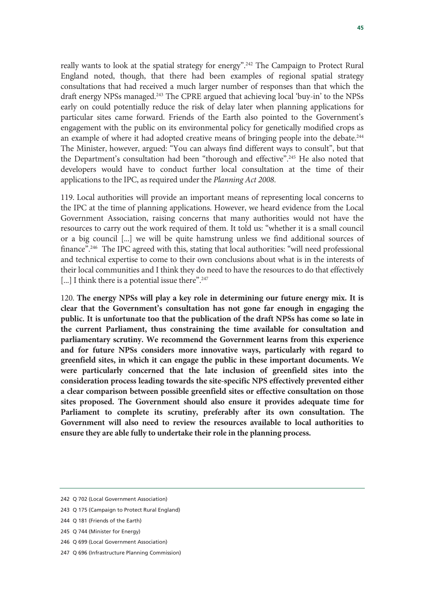really wants to look at the spatial strategy for energy".<sup>242</sup> The Campaign to Protect Rural England noted, though, that there had been examples of regional spatial strategy consultations that had received a much larger number of responses than that which the draft energy NPSs managed.<sup>243</sup> The CPRE argued that achieving local 'buy-in' to the NPSs early on could potentially reduce the risk of delay later when planning applications for particular sites came forward. Friends of the Earth also pointed to the Government's engagement with the public on its environmental policy for genetically modified crops as an example of where it had adopted creative means of bringing people into the debate.<sup>244</sup> The Minister, however, argued: "You can always find different ways to consult", but that the Department's consultation had been "thorough and effective".245 He also noted that developers would have to conduct further local consultation at the time of their applications to the IPC, as required under the *Planning Act 2008*.

119. Local authorities will provide an important means of representing local concerns to the IPC at the time of planning applications. However, we heard evidence from the Local Government Association, raising concerns that many authorities would not have the resources to carry out the work required of them. It told us: "whether it is a small council or a big council [...] we will be quite hamstrung unless we find additional sources of finance".<sup>246</sup> The IPC agreed with this, stating that local authorities: "will need professional and technical expertise to come to their own conclusions about what is in the interests of their local communities and I think they do need to have the resources to do that effectively [...] I think there is a potential issue there".<sup>247</sup>

120. **The energy NPSs will play a key role in determining our future energy mix. It is clear that the Government's consultation has not gone far enough in engaging the public. It is unfortunate too that the publication of the draft NPSs has come so late in the current Parliament, thus constraining the time available for consultation and parliamentary scrutiny. We recommend the Government learns from this experience and for future NPSs considers more innovative ways, particularly with regard to greenfield sites, in which it can engage the public in these important documents. We were particularly concerned that the late inclusion of greenfield sites into the consideration process leading towards the site-specific NPS effectively prevented either a clear comparison between possible greenfield sites or effective consultation on those sites proposed. The Government should also ensure it provides adequate time for Parliament to complete its scrutiny, preferably after its own consultation. The Government will also need to review the resources available to local authorities to ensure they are able fully to undertake their role in the planning process.**

246 Q 699 (Local Government Association)

<sup>242</sup> Q 702 (Local Government Association)

<sup>243</sup> Q 175 (Campaign to Protect Rural England)

<sup>244</sup> Q 181 (Friends of the Earth)

<sup>245</sup> Q 744 (Minister for Energy)

<sup>247</sup> Q 696 (Infrastructure Planning Commission)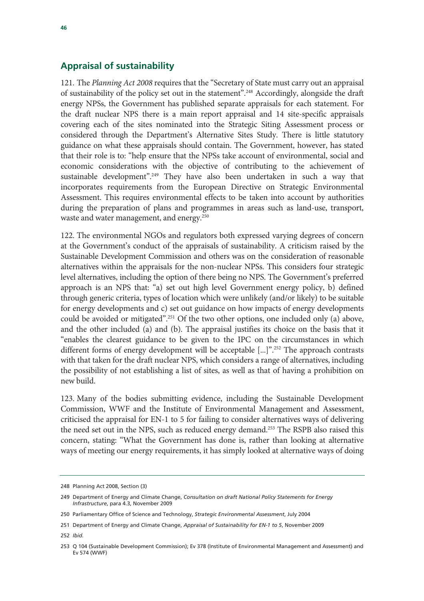#### **Appraisal of sustainability**

121. The *Planning Act 2008* requires that the "Secretary of State must carry out an appraisal of sustainability of the policy set out in the statement".248 Accordingly, alongside the draft energy NPSs, the Government has published separate appraisals for each statement. For the draft nuclear NPS there is a main report appraisal and 14 site-specific appraisals covering each of the sites nominated into the Strategic Siting Assessment process or considered through the Department's Alternative Sites Study. There is little statutory guidance on what these appraisals should contain. The Government, however, has stated that their role is to: "help ensure that the NPSs take account of environmental, social and economic considerations with the objective of contributing to the achievement of sustainable development".<sup>249</sup> They have also been undertaken in such a way that incorporates requirements from the European Directive on Strategic Environmental Assessment. This requires environmental effects to be taken into account by authorities during the preparation of plans and programmes in areas such as land-use, transport, waste and water management, and energy.<sup>250</sup>

122. The environmental NGOs and regulators both expressed varying degrees of concern at the Government's conduct of the appraisals of sustainability. A criticism raised by the Sustainable Development Commission and others was on the consideration of reasonable alternatives within the appraisals for the non-nuclear NPSs. This considers four strategic level alternatives, including the option of there being no NPS. The Government's preferred approach is an NPS that: "a) set out high level Government energy policy, b) defined through generic criteria, types of location which were unlikely (and/or likely) to be suitable for energy developments and c) set out guidance on how impacts of energy developments could be avoided or mitigated".251 Of the two other options, one included only (a) above, and the other included (a) and (b). The appraisal justifies its choice on the basis that it "enables the clearest guidance to be given to the IPC on the circumstances in which different forms of energy development will be acceptable [...]".<sup>252</sup> The approach contrasts with that taken for the draft nuclear NPS, which considers a range of alternatives, including the possibility of not establishing a list of sites, as well as that of having a prohibition on new build.

123. Many of the bodies submitting evidence, including the Sustainable Development Commission, WWF and the Institute of Environmental Management and Assessment, criticised the appraisal for EN-1 to 5 for failing to consider alternatives ways of delivering the need set out in the NPS, such as reduced energy demand.<sup>253</sup> The RSPB also raised this concern, stating: "What the Government has done is, rather than looking at alternative ways of meeting our energy requirements, it has simply looked at alternative ways of doing

<sup>248</sup> Planning Act 2008, Section (3)

<sup>249</sup> Department of Energy and Climate Change, *Consultation on draft National Policy Statements for Energy Infrastructure*, para 4.3, November 2009

<sup>250</sup> Parliamentary Office of Science and Technology, *Strategic Environmental Assessment*, July 2004

<sup>251</sup> Department of Energy and Climate Change, *Appraisal of Sustainability for EN-1 to 5*, November 2009

<sup>252</sup> *Ibid.* 

<sup>253</sup> Q 104 (Sustainable Development Commission); Ev 378 (Institute of Environmental Management and Assessment) and Ev 574 (WWF)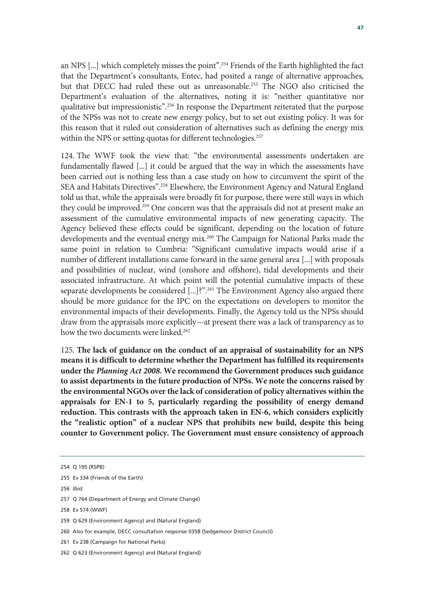an NPS [...] which completely misses the point".254 Friends of the Earth highlighted the fact that the Department's consultants, Entec, had posited a range of alternative approaches, but that DECC had ruled these out as unreasonable.<sup>255</sup> The NGO also criticised the Department's evaluation of the alternatives, noting it is: "neither quantitative nor qualitative but impressionistic".256 In response the Department reiterated that the purpose of the NPSs was not to create new energy policy, but to set out existing policy. It was for this reason that it ruled out consideration of alternatives such as defining the energy mix within the NPS or setting quotas for different technologies.<sup>257</sup>

124. The WWF took the view that: "the environmental assessments undertaken are fundamentally flawed [...] it could be argued that the way in which the assessments have been carried out is nothing less than a case study on how to circumvent the spirit of the SEA and Habitats Directives".<sup>258</sup> Elsewhere, the Environment Agency and Natural England told us that, while the appraisals were broadly fit for purpose, there were still ways in which they could be improved.<sup>259</sup> One concern was that the appraisals did not at present make an assessment of the cumulative environmental impacts of new generating capacity. The Agency believed these effects could be significant, depending on the location of future developments and the eventual energy mix.<sup>260</sup> The Campaign for National Parks made the same point in relation to Cumbria: "Significant cumulative impacts would arise if a number of different installations came forward in the same general area [...] with proposals and possibilities of nuclear, wind (onshore and offshore), tidal developments and their associated infrastructure. At which point will the potential cumulative impacts of these separate developments be considered [...]?".<sup>261</sup> The Environment Agency also argued there should be more guidance for the IPC on the expectations on developers to monitor the environmental impacts of their developments. Finally, the Agency told us the NPSs should draw from the appraisals more explicitly—at present there was a lack of transparency as to how the two documents were linked.<sup>262</sup>

125. **The lack of guidance on the conduct of an appraisal of sustainability for an NPS means it is difficult to determine whether the Department has fulfilled its requirements under the** *Planning Act 2008***. We recommend the Government produces such guidance to assist departments in the future production of NPSs. We note the concerns raised by the environmental NGOs over the lack of consideration of policy alternatives within the appraisals for EN-1 to 5, particularly regarding the possibility of energy demand reduction. This contrasts with the approach taken in EN-6, which considers explicitly the "realistic option" of a nuclear NPS that prohibits new build, despite this being counter to Government policy. The Government must ensure consistency of approach** 

256 *Ibid.* 

258 Ev 574 (WWF)

- 260 Also for example, DECC consultation response 0358 (Sedgemoor District Council)
- 261 Ev 238 (Campaign for National Parks)

<sup>254</sup> Q 195 (RSPB)

<sup>255</sup> Ev 334 (Friends of the Earth)

<sup>257</sup> Q 764 (Department of Energy and Climate Change)

<sup>259</sup> Q 629 (Environment Agency) and (Natural England)

<sup>262</sup> Q 623 (Environment Agency) and (Natural England)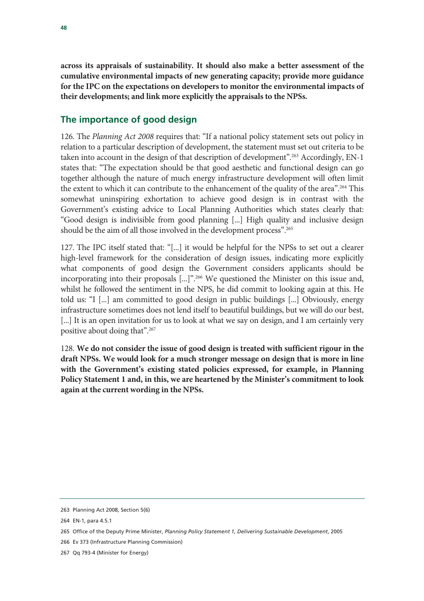**across its appraisals of sustainability. It should also make a better assessment of the cumulative environmental impacts of new generating capacity; provide more guidance for the IPC on the expectations on developers to monitor the environmental impacts of their developments; and link more explicitly the appraisals to the NPSs.**

#### **The importance of good design**

126. The *Planning Act 2008* requires that: "If a national policy statement sets out policy in relation to a particular description of development, the statement must set out criteria to be taken into account in the design of that description of development".263 Accordingly, EN-1 states that: "The expectation should be that good aesthetic and functional design can go together although the nature of much energy infrastructure development will often limit the extent to which it can contribute to the enhancement of the quality of the area".<sup>264</sup> This somewhat uninspiring exhortation to achieve good design is in contrast with the Government's existing advice to Local Planning Authorities which states clearly that: "Good design is indivisible from good planning [...] High quality and inclusive design should be the aim of all those involved in the development process".<sup>265</sup>

127. The IPC itself stated that: "[...] it would be helpful for the NPSs to set out a clearer high-level framework for the consideration of design issues, indicating more explicitly what components of good design the Government considers applicants should be incorporating into their proposals [...]".266 We questioned the Minister on this issue and, whilst he followed the sentiment in the NPS, he did commit to looking again at this. He told us: "I [...] am committed to good design in public buildings [...] Obviously, energy infrastructure sometimes does not lend itself to beautiful buildings, but we will do our best, [...] It is an open invitation for us to look at what we say on design, and I am certainly very positive about doing that".267

128. **We do not consider the issue of good design is treated with sufficient rigour in the draft NPSs. We would look for a much stronger message on design that is more in line with the Government's existing stated policies expressed, for example, in Planning Policy Statement 1 and, in this, we are heartened by the Minister's commitment to look again at the current wording in the NPSs.**

<sup>263</sup> Planning Act 2008, Section 5(6)

<sup>264</sup> EN-1, para 4.5.1

<sup>265</sup> Office of the Deputy Prime Minister, *Planning Policy Statement 1, Delivering Sustainable Development*, 2005

<sup>266</sup> Ev 373 (Infrastructure Planning Commission)

<sup>267</sup> Qq 793-4 (Minister for Energy)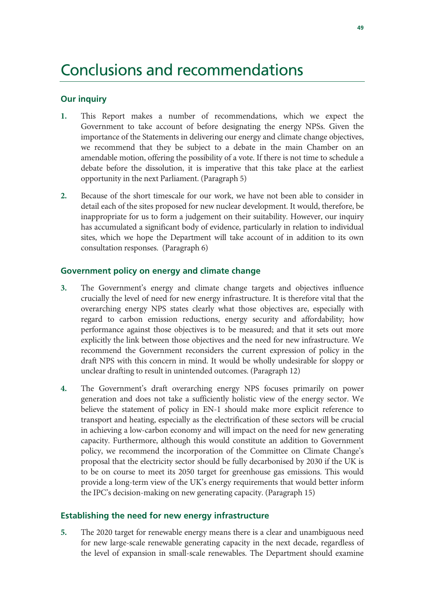### Conclusions and recommendations

#### **Our inquiry**

- **1.** This Report makes a number of recommendations, which we expect the Government to take account of before designating the energy NPSs. Given the importance of the Statements in delivering our energy and climate change objectives, we recommend that they be subject to a debate in the main Chamber on an amendable motion, offering the possibility of a vote. If there is not time to schedule a debate before the dissolution, it is imperative that this take place at the earliest opportunity in the next Parliament. (Paragraph 5)
- **2.** Because of the short timescale for our work, we have not been able to consider in detail each of the sites proposed for new nuclear development. It would, therefore, be inappropriate for us to form a judgement on their suitability. However, our inquiry has accumulated a significant body of evidence, particularly in relation to individual sites, which we hope the Department will take account of in addition to its own consultation responses. (Paragraph 6)

#### **Government policy on energy and climate change**

- **3.** The Government's energy and climate change targets and objectives influence crucially the level of need for new energy infrastructure. It is therefore vital that the overarching energy NPS states clearly what those objectives are, especially with regard to carbon emission reductions, energy security and affordability; how performance against those objectives is to be measured; and that it sets out more explicitly the link between those objectives and the need for new infrastructure. We recommend the Government reconsiders the current expression of policy in the draft NPS with this concern in mind. It would be wholly undesirable for sloppy or unclear drafting to result in unintended outcomes. (Paragraph 12)
- **4.** The Government's draft overarching energy NPS focuses primarily on power generation and does not take a sufficiently holistic view of the energy sector. We believe the statement of policy in EN-1 should make more explicit reference to transport and heating, especially as the electrification of these sectors will be crucial in achieving a low-carbon economy and will impact on the need for new generating capacity. Furthermore, although this would constitute an addition to Government policy, we recommend the incorporation of the Committee on Climate Change's proposal that the electricity sector should be fully decarbonised by 2030 if the UK is to be on course to meet its 2050 target for greenhouse gas emissions. This would provide a long-term view of the UK's energy requirements that would better inform the IPC's decision-making on new generating capacity. (Paragraph 15)

#### **Establishing the need for new energy infrastructure**

**5.** The 2020 target for renewable energy means there is a clear and unambiguous need for new large-scale renewable generating capacity in the next decade, regardless of the level of expansion in small-scale renewables. The Department should examine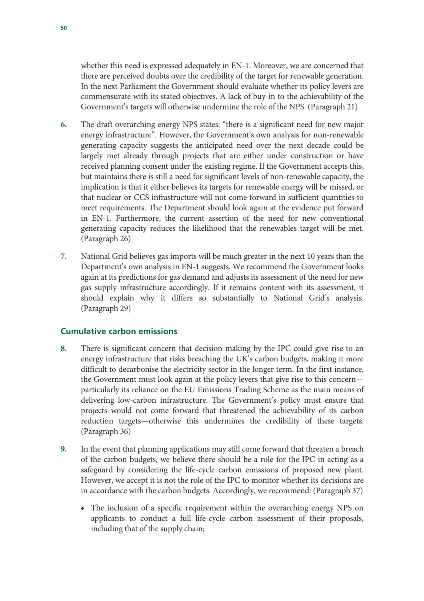whether this need is expressed adequately in EN-1. Moreover, we are concerned that there are perceived doubts over the credibility of the target for renewable generation. In the next Parliament the Government should evaluate whether its policy levers are commensurate with its stated objectives. A lack of buy-in to the achievability of the Government's targets will otherwise undermine the role of the NPS. (Paragraph 21)

- **6.** The draft overarching energy NPS states: "there is a significant need for new major energy infrastructure". However, the Government's own analysis for non-renewable generating capacity suggests the anticipated need over the next decade could be largely met already through projects that are either under construction or have received planning consent under the existing regime. If the Government accepts this, but maintains there is still a need for significant levels of non-renewable capacity, the implication is that it either believes its targets for renewable energy will be missed, or that nuclear or CCS infrastructure will not come forward in sufficient quantities to meet requirements. The Department should look again at the evidence put forward in EN-1. Furthermore, the current assertion of the need for new conventional generating capacity reduces the likelihood that the renewables target will be met. (Paragraph 26)
- **7.** National Grid believes gas imports will be much greater in the next 10 years than the Department's own analysis in EN-1 suggests. We recommend the Government looks again at its predictions for gas demand and adjusts its assessment of the need for new gas supply infrastructure accordingly. If it remains content with its assessment, it should explain why it differs so substantially to National Grid's analysis. (Paragraph 29)

#### **Cumulative carbon emissions**

- **8.** There is significant concern that decision-making by the IPC could give rise to an energy infrastructure that risks breaching the UK's carbon budgets, making it more difficult to decarbonise the electricity sector in the longer term. In the first instance, the Government must look again at the policy levers that give rise to this concern particularly its reliance on the EU Emissions Trading Scheme as the main means of delivering low-carbon infrastructure. The Government's policy must ensure that projects would not come forward that threatened the achievability of its carbon reduction targets—otherwise this undermines the credibility of these targets. (Paragraph 36)
- **9.** In the event that planning applications may still come forward that threaten a breach of the carbon budgets, we believe there should be a role for the IPC in acting as a safeguard by considering the life-cycle carbon emissions of proposed new plant. However, we accept it is not the role of the IPC to monitor whether its decisions are in accordance with the carbon budgets. Accordingly, we recommend: (Paragraph 37)
	- The inclusion of a specific requirement within the overarching energy NPS on applicants to conduct a full life-cycle carbon assessment of their proposals, including that of the supply chain;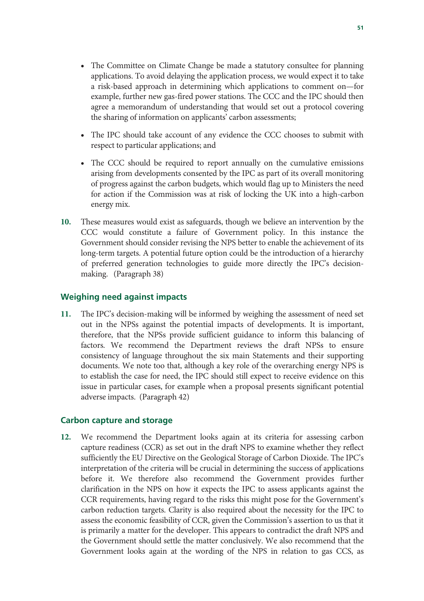- The Committee on Climate Change be made a statutory consultee for planning applications. To avoid delaying the application process, we would expect it to take a risk-based approach in determining which applications to comment on—for example, further new gas-fired power stations. The CCC and the IPC should then agree a memorandum of understanding that would set out a protocol covering the sharing of information on applicants' carbon assessments;
- The IPC should take account of any evidence the CCC chooses to submit with respect to particular applications; and
- The CCC should be required to report annually on the cumulative emissions arising from developments consented by the IPC as part of its overall monitoring of progress against the carbon budgets, which would flag up to Ministers the need for action if the Commission was at risk of locking the UK into a high-carbon energy mix.
- **10.** These measures would exist as safeguards, though we believe an intervention by the CCC would constitute a failure of Government policy. In this instance the Government should consider revising the NPS better to enable the achievement of its long-term targets. A potential future option could be the introduction of a hierarchy of preferred generation technologies to guide more directly the IPC's decisionmaking. (Paragraph 38)

#### **Weighing need against impacts**

**11.** The IPC's decision-making will be informed by weighing the assessment of need set out in the NPSs against the potential impacts of developments. It is important, therefore, that the NPSs provide sufficient guidance to inform this balancing of factors. We recommend the Department reviews the draft NPSs to ensure consistency of language throughout the six main Statements and their supporting documents. We note too that, although a key role of the overarching energy NPS is to establish the case for need, the IPC should still expect to receive evidence on this issue in particular cases, for example when a proposal presents significant potential adverse impacts. (Paragraph 42)

#### **Carbon capture and storage**

**12.** We recommend the Department looks again at its criteria for assessing carbon capture readiness (CCR) as set out in the draft NPS to examine whether they reflect sufficiently the EU Directive on the Geological Storage of Carbon Dioxide. The IPC's interpretation of the criteria will be crucial in determining the success of applications before it. We therefore also recommend the Government provides further clarification in the NPS on how it expects the IPC to assess applicants against the CCR requirements, having regard to the risks this might pose for the Government's carbon reduction targets. Clarity is also required about the necessity for the IPC to assess the economic feasibility of CCR, given the Commission's assertion to us that it is primarily a matter for the developer. This appears to contradict the draft NPS and the Government should settle the matter conclusively. We also recommend that the Government looks again at the wording of the NPS in relation to gas CCS, as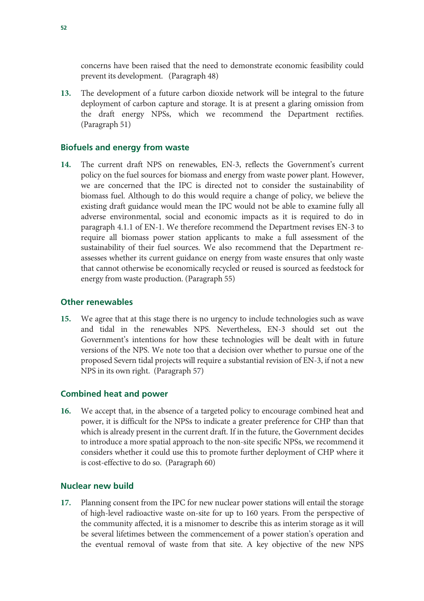concerns have been raised that the need to demonstrate economic feasibility could prevent its development. (Paragraph 48)

**13.** The development of a future carbon dioxide network will be integral to the future deployment of carbon capture and storage. It is at present a glaring omission from the draft energy NPSs, which we recommend the Department rectifies. (Paragraph 51)

#### **Biofuels and energy from waste**

**14.** The current draft NPS on renewables, EN-3, reflects the Government's current policy on the fuel sources for biomass and energy from waste power plant. However, we are concerned that the IPC is directed not to consider the sustainability of biomass fuel. Although to do this would require a change of policy, we believe the existing draft guidance would mean the IPC would not be able to examine fully all adverse environmental, social and economic impacts as it is required to do in paragraph 4.1.1 of EN-1. We therefore recommend the Department revises EN-3 to require all biomass power station applicants to make a full assessment of the sustainability of their fuel sources. We also recommend that the Department reassesses whether its current guidance on energy from waste ensures that only waste that cannot otherwise be economically recycled or reused is sourced as feedstock for energy from waste production. (Paragraph 55)

#### **Other renewables**

**15.** We agree that at this stage there is no urgency to include technologies such as wave and tidal in the renewables NPS. Nevertheless, EN-3 should set out the Government's intentions for how these technologies will be dealt with in future versions of the NPS. We note too that a decision over whether to pursue one of the proposed Severn tidal projects will require a substantial revision of EN-3, if not a new NPS in its own right. (Paragraph 57)

#### **Combined heat and power**

**16.** We accept that, in the absence of a targeted policy to encourage combined heat and power, it is difficult for the NPSs to indicate a greater preference for CHP than that which is already present in the current draft. If in the future, the Government decides to introduce a more spatial approach to the non-site specific NPSs, we recommend it considers whether it could use this to promote further deployment of CHP where it is cost-effective to do so. (Paragraph 60)

#### **Nuclear new build**

**17.** Planning consent from the IPC for new nuclear power stations will entail the storage of high-level radioactive waste on-site for up to 160 years. From the perspective of the community affected, it is a misnomer to describe this as interim storage as it will be several lifetimes between the commencement of a power station's operation and the eventual removal of waste from that site. A key objective of the new NPS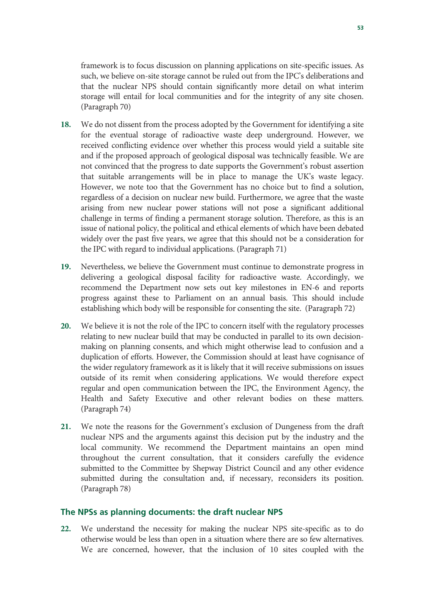framework is to focus discussion on planning applications on site-specific issues. As such, we believe on-site storage cannot be ruled out from the IPC's deliberations and that the nuclear NPS should contain significantly more detail on what interim storage will entail for local communities and for the integrity of any site chosen. (Paragraph 70)

- **18.** We do not dissent from the process adopted by the Government for identifying a site for the eventual storage of radioactive waste deep underground. However, we received conflicting evidence over whether this process would yield a suitable site and if the proposed approach of geological disposal was technically feasible. We are not convinced that the progress to date supports the Government's robust assertion that suitable arrangements will be in place to manage the UK's waste legacy. However, we note too that the Government has no choice but to find a solution, regardless of a decision on nuclear new build. Furthermore, we agree that the waste arising from new nuclear power stations will not pose a significant additional challenge in terms of finding a permanent storage solution. Therefore, as this is an issue of national policy, the political and ethical elements of which have been debated widely over the past five years, we agree that this should not be a consideration for the IPC with regard to individual applications. (Paragraph 71)
- **19.** Nevertheless, we believe the Government must continue to demonstrate progress in delivering a geological disposal facility for radioactive waste. Accordingly, we recommend the Department now sets out key milestones in EN-6 and reports progress against these to Parliament on an annual basis. This should include establishing which body will be responsible for consenting the site. (Paragraph 72)
- **20.** We believe it is not the role of the IPC to concern itself with the regulatory processes relating to new nuclear build that may be conducted in parallel to its own decisionmaking on planning consents, and which might otherwise lead to confusion and a duplication of efforts. However, the Commission should at least have cognisance of the wider regulatory framework as it is likely that it will receive submissions on issues outside of its remit when considering applications. We would therefore expect regular and open communication between the IPC, the Environment Agency, the Health and Safety Executive and other relevant bodies on these matters. (Paragraph 74)
- **21.** We note the reasons for the Government's exclusion of Dungeness from the draft nuclear NPS and the arguments against this decision put by the industry and the local community. We recommend the Department maintains an open mind throughout the current consultation, that it considers carefully the evidence submitted to the Committee by Shepway District Council and any other evidence submitted during the consultation and, if necessary, reconsiders its position. (Paragraph 78)

#### **The NPSs as planning documents: the draft nuclear NPS**

**22.** We understand the necessity for making the nuclear NPS site-specific as to do otherwise would be less than open in a situation where there are so few alternatives. We are concerned, however, that the inclusion of 10 sites coupled with the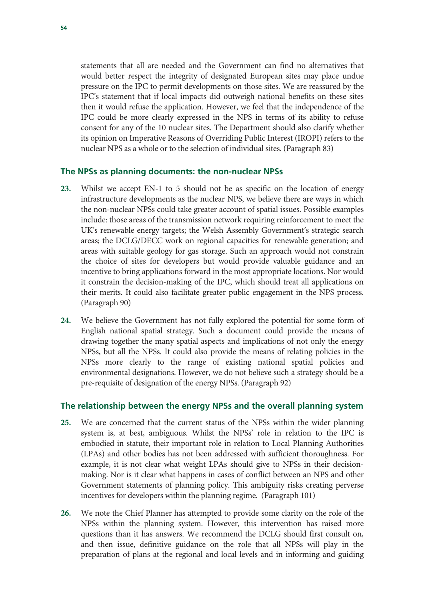statements that all are needed and the Government can find no alternatives that would better respect the integrity of designated European sites may place undue pressure on the IPC to permit developments on those sites. We are reassured by the IPC's statement that if local impacts did outweigh national benefits on these sites then it would refuse the application. However, we feel that the independence of the IPC could be more clearly expressed in the NPS in terms of its ability to refuse consent for any of the 10 nuclear sites. The Department should also clarify whether its opinion on Imperative Reasons of Overriding Public Interest (IROPI) refers to the nuclear NPS as a whole or to the selection of individual sites. (Paragraph 83)

#### **The NPSs as planning documents: the non-nuclear NPSs**

- **23.** Whilst we accept EN-1 to 5 should not be as specific on the location of energy infrastructure developments as the nuclear NPS, we believe there are ways in which the non-nuclear NPSs could take greater account of spatial issues. Possible examples include: those areas of the transmission network requiring reinforcement to meet the UK's renewable energy targets; the Welsh Assembly Government's strategic search areas; the DCLG/DECC work on regional capacities for renewable generation; and areas with suitable geology for gas storage. Such an approach would not constrain the choice of sites for developers but would provide valuable guidance and an incentive to bring applications forward in the most appropriate locations. Nor would it constrain the decision-making of the IPC, which should treat all applications on their merits. It could also facilitate greater public engagement in the NPS process. (Paragraph 90)
- **24.** We believe the Government has not fully explored the potential for some form of English national spatial strategy. Such a document could provide the means of drawing together the many spatial aspects and implications of not only the energy NPSs, but all the NPSs. It could also provide the means of relating policies in the NPSs more clearly to the range of existing national spatial policies and environmental designations. However, we do not believe such a strategy should be a pre-requisite of designation of the energy NPSs. (Paragraph 92)

#### **The relationship between the energy NPSs and the overall planning system**

- **25.** We are concerned that the current status of the NPSs within the wider planning system is, at best, ambiguous. Whilst the NPSs' role in relation to the IPC is embodied in statute, their important role in relation to Local Planning Authorities (LPAs) and other bodies has not been addressed with sufficient thoroughness. For example, it is not clear what weight LPAs should give to NPSs in their decisionmaking. Nor is it clear what happens in cases of conflict between an NPS and other Government statements of planning policy. This ambiguity risks creating perverse incentives for developers within the planning regime. (Paragraph 101)
- **26.** We note the Chief Planner has attempted to provide some clarity on the role of the NPSs within the planning system. However, this intervention has raised more questions than it has answers. We recommend the DCLG should first consult on, and then issue, definitive guidance on the role that all NPSs will play in the preparation of plans at the regional and local levels and in informing and guiding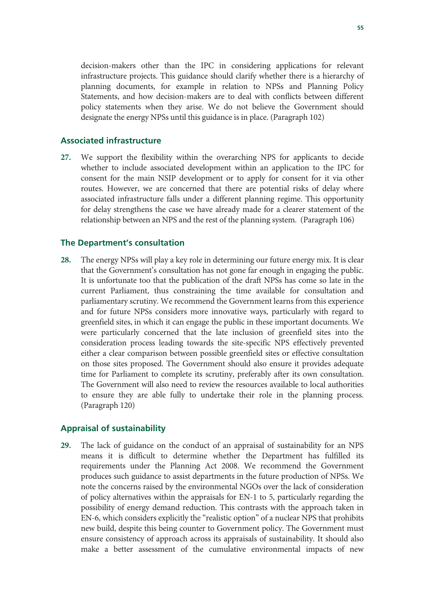decision-makers other than the IPC in considering applications for relevant infrastructure projects. This guidance should clarify whether there is a hierarchy of planning documents, for example in relation to NPSs and Planning Policy Statements, and how decision-makers are to deal with conflicts between different policy statements when they arise. We do not believe the Government should designate the energy NPSs until this guidance is in place. (Paragraph 102)

#### **Associated infrastructure**

**27.** We support the flexibility within the overarching NPS for applicants to decide whether to include associated development within an application to the IPC for consent for the main NSIP development or to apply for consent for it via other routes. However, we are concerned that there are potential risks of delay where associated infrastructure falls under a different planning regime. This opportunity for delay strengthens the case we have already made for a clearer statement of the relationship between an NPS and the rest of the planning system. (Paragraph 106)

#### **The Department's consultation**

**28.** The energy NPSs will play a key role in determining our future energy mix. It is clear that the Government's consultation has not gone far enough in engaging the public. It is unfortunate too that the publication of the draft NPSs has come so late in the current Parliament, thus constraining the time available for consultation and parliamentary scrutiny. We recommend the Government learns from this experience and for future NPSs considers more innovative ways, particularly with regard to greenfield sites, in which it can engage the public in these important documents. We were particularly concerned that the late inclusion of greenfield sites into the consideration process leading towards the site-specific NPS effectively prevented either a clear comparison between possible greenfield sites or effective consultation on those sites proposed. The Government should also ensure it provides adequate time for Parliament to complete its scrutiny, preferably after its own consultation. The Government will also need to review the resources available to local authorities to ensure they are able fully to undertake their role in the planning process. (Paragraph 120)

#### **Appraisal of sustainability**

**29.** The lack of guidance on the conduct of an appraisal of sustainability for an NPS means it is difficult to determine whether the Department has fulfilled its requirements under the Planning Act 2008. We recommend the Government produces such guidance to assist departments in the future production of NPSs. We note the concerns raised by the environmental NGOs over the lack of consideration of policy alternatives within the appraisals for EN-1 to 5, particularly regarding the possibility of energy demand reduction. This contrasts with the approach taken in EN-6, which considers explicitly the "realistic option" of a nuclear NPS that prohibits new build, despite this being counter to Government policy. The Government must ensure consistency of approach across its appraisals of sustainability. It should also make a better assessment of the cumulative environmental impacts of new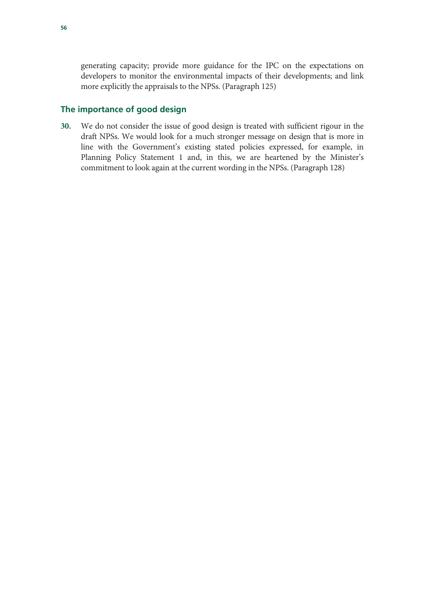generating capacity; provide more guidance for the IPC on the expectations on developers to monitor the environmental impacts of their developments; and link more explicitly the appraisals to the NPSs. (Paragraph 125)

#### **The importance of good design**

**30.** We do not consider the issue of good design is treated with sufficient rigour in the draft NPSs. We would look for a much stronger message on design that is more in line with the Government's existing stated policies expressed, for example, in Planning Policy Statement 1 and, in this, we are heartened by the Minister's commitment to look again at the current wording in the NPSs. (Paragraph 128)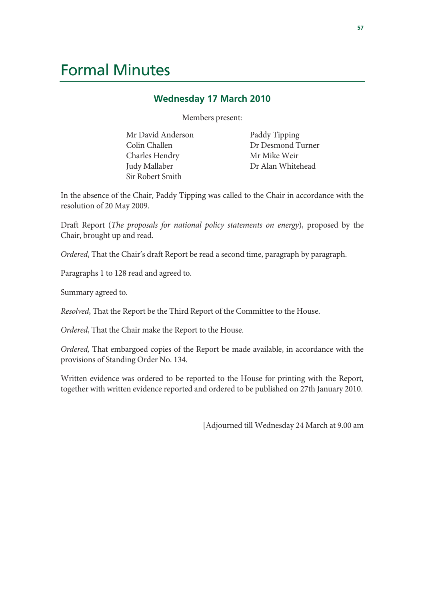### Formal Minutes

#### **Wednesday 17 March 2010**

Members present:

Mr David Anderson Colin Challen Charles Hendry Judy Mallaber Sir Robert Smith

Paddy Tipping Dr Desmond Turner Mr Mike Weir Dr Alan Whitehead

In the absence of the Chair, Paddy Tipping was called to the Chair in accordance with the resolution of 20 May 2009.

Draft Report (*The proposals for national policy statements on energy*), proposed by the Chair, brought up and read.

*Ordered*, That the Chair's draft Report be read a second time, paragraph by paragraph.

Paragraphs 1 to 128 read and agreed to.

Summary agreed to.

*Resolved*, That the Report be the Third Report of the Committee to the House.

*Ordered*, That the Chair make the Report to the House.

*Ordered,* That embargoed copies of the Report be made available, in accordance with the provisions of Standing Order No. 134.

Written evidence was ordered to be reported to the House for printing with the Report, together with written evidence reported and ordered to be published on 27th January 2010.

[Adjourned till Wednesday 24 March at 9.00 am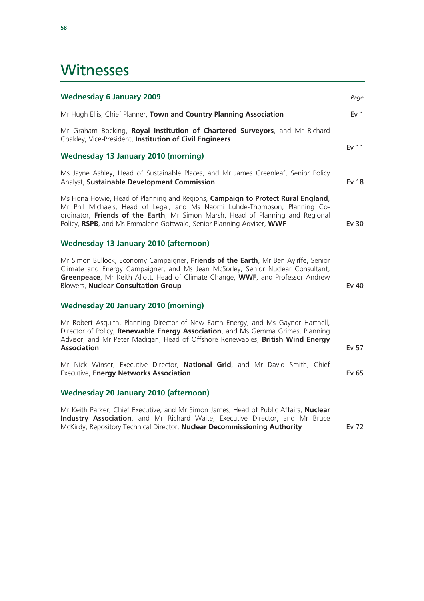### **Witnesses**

| <b>Wednesday 6 January 2009</b>                                                                                                                                                                                                                                                                                          | Page            |
|--------------------------------------------------------------------------------------------------------------------------------------------------------------------------------------------------------------------------------------------------------------------------------------------------------------------------|-----------------|
| Mr Hugh Ellis, Chief Planner, Town and Country Planning Association                                                                                                                                                                                                                                                      | Ev <sub>1</sub> |
| Mr Graham Bocking, Royal Institution of Chartered Surveyors, and Mr Richard<br>Coakley, Vice-President, Institution of Civil Engineers                                                                                                                                                                                   |                 |
| Wednesday 13 January 2010 (morning)                                                                                                                                                                                                                                                                                      | Ev 11           |
| Ms Jayne Ashley, Head of Sustainable Places, and Mr James Greenleaf, Senior Policy<br>Analyst, Sustainable Development Commission                                                                                                                                                                                        | <b>Ev 18</b>    |
| Ms Fiona Howie, Head of Planning and Regions, Campaign to Protect Rural England,<br>Mr Phil Michaels, Head of Legal, and Ms Naomi Luhde-Thompson, Planning Co-<br>ordinator, Friends of the Earth, Mr Simon Marsh, Head of Planning and Regional<br>Policy, RSPB, and Ms Emmalene Gottwald, Senior Planning Adviser, WWF | Ev 30           |
| <b>Wednesday 13 January 2010 (afternoon)</b>                                                                                                                                                                                                                                                                             |                 |
| Mr Simon Bullock, Economy Campaigner, Friends of the Earth, Mr Ben Ayliffe, Senior<br>Climate and Energy Campaigner, and Ms Jean McSorley, Senior Nuclear Consultant,<br>Greenpeace, Mr Keith Allott, Head of Climate Change, WWF, and Professor Andrew<br><b>Blowers, Nuclear Consultation Group</b>                    | Ev 40           |
| <b>Wednesday 20 January 2010 (morning)</b>                                                                                                                                                                                                                                                                               |                 |
| Mr Robert Asquith, Planning Director of New Earth Energy, and Ms Gaynor Hartnell,<br>Director of Policy, Renewable Energy Association, and Ms Gemma Grimes, Planning<br>Advisor, and Mr Peter Madigan, Head of Offshore Renewables, British Wind Energy<br><b>Association</b>                                            | Ev 57           |
| Mr Nick Winser, Executive Director, National Grid, and Mr David Smith, Chief<br><b>Executive, Energy Networks Association</b>                                                                                                                                                                                            | Ev 65           |
| <b>Wednesday 20 January 2010 (afternoon)</b>                                                                                                                                                                                                                                                                             |                 |
| Mr Keith Parker, Chief Executive, and Mr Simon James, Head of Public Affairs, Nuclear                                                                                                                                                                                                                                    |                 |

**Industry Association**, and Mr Richard Waite, Executive Director, and Mr Bruce McKirdy, Repository Technical Director, **Nuclear Decommissioning Authority** Ev 72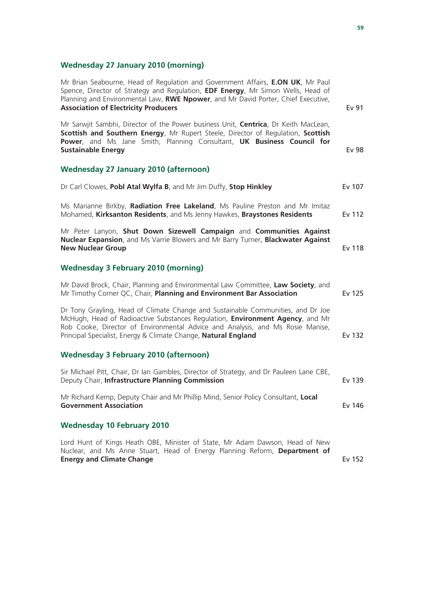#### **Wednesday 27 January 2010 (morning)**

| Mr Brian Seabourne, Head of Regulation and Government Affairs, E.ON UK, Mr Paul<br>Spence, Director of Strategy and Regulation, EDF Energy, Mr Simon Wells, Head of<br>Planning and Environmental Law, RWE Npower, and Mr David Porter, Chief Executive,<br><b>Association of Electricity Producers</b>               | <b>Ev 91</b>  |
|-----------------------------------------------------------------------------------------------------------------------------------------------------------------------------------------------------------------------------------------------------------------------------------------------------------------------|---------------|
| Mr Sarwjit Sambhi, Director of the Power business Unit, Centrica, Dr Keith MacLean,<br>Scottish and Southern Energy, Mr Rupert Steele, Director of Regulation, Scottish<br>Power, and Ms Jane Smith, Planning Consultant, UK Business Council for<br><b>Sustainable Energy</b>                                        | <b>Ev 98</b>  |
| <b>Wednesday 27 January 2010 (afternoon)</b>                                                                                                                                                                                                                                                                          |               |
| Dr Carl Clowes, Pobl Atal Wylfa B, and Mr Jim Duffy, Stop Hinkley                                                                                                                                                                                                                                                     | Ev 107        |
| Ms Marianne Birkby, Radiation Free Lakeland, Ms Pauline Preston and Mr Imitaz<br>Mohamed, Kirksanton Residents, and Ms Jenny Hawkes, Braystones Residents                                                                                                                                                             | Ev 112        |
| Mr Peter Lanyon, Shut Down Sizewell Campaign and Communities Against<br>Nuclear Expansion, and Ms Varrie Blowers and Mr Barry Turner, Blackwater Against<br><b>New Nuclear Group</b>                                                                                                                                  | <b>Ev 118</b> |
| <b>Wednesday 3 February 2010 (morning)</b>                                                                                                                                                                                                                                                                            |               |
| Mr David Brock, Chair, Planning and Environmental Law Committee, Law Society, and<br>Mr Timothy Corner QC, Chair, Planning and Environment Bar Association                                                                                                                                                            | Ev 125        |
| Dr Tony Grayling, Head of Climate Change and Sustainable Communities, and Dr Joe<br>McHugh, Head of Radioactive Substances Regulation, Environment Agency, and Mr<br>Rob Cooke, Director of Environmental Advice and Analysis, and Ms Rosie Manise,<br>Principal Specialist, Energy & Climate Change, Natural England | Ev 132        |
| <b>Wednesday 3 February 2010 (afternoon)</b>                                                                                                                                                                                                                                                                          |               |
| Sir Michael Pitt, Chair, Dr Ian Gambles, Director of Strategy, and Dr Pauleen Lane CBE,<br>Deputy Chair, Infrastructure Planning Commission                                                                                                                                                                           | Ev 139        |
| Mr Richard Kemp, Deputy Chair and Mr Phillip Mind, Senior Policy Consultant, Local<br><b>Government Association</b>                                                                                                                                                                                                   | Ev 146        |
| <b>Wednesday 10 February 2010</b>                                                                                                                                                                                                                                                                                     |               |
| Lord Hunt of Kings Heath OBE, Minister of State, Mr Adam Dawson, Head of New<br>Nuclear, and Ms Anne Stuart, Head of Energy Planning Reform, Department of                                                                                                                                                            |               |

**Energy and Climate Change Ev 152**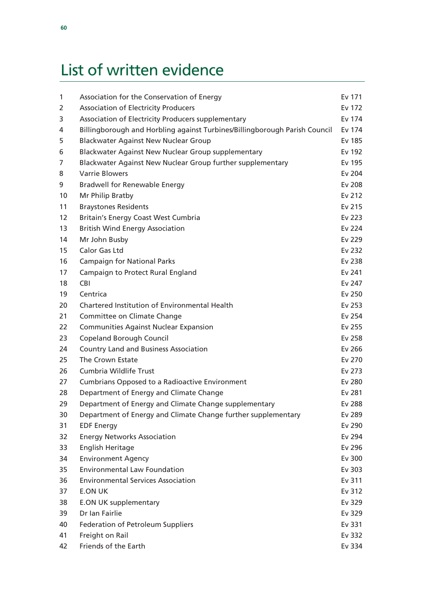# List of written evidence

| $\mathbf{1}$ | Association for the Conservation of Energy                                 | Ev 171 |
|--------------|----------------------------------------------------------------------------|--------|
| 2            | <b>Association of Electricity Producers</b>                                | Ev 172 |
| 3            | Association of Electricity Producers supplementary                         | Ev 174 |
| 4            | Billingborough and Horbling against Turbines/Billingborough Parish Council | Ev 174 |
| 5            | <b>Blackwater Against New Nuclear Group</b>                                | Ev 185 |
| 6            | Blackwater Against New Nuclear Group supplementary                         | Ev 192 |
| 7            | Blackwater Against New Nuclear Group further supplementary                 | Ev 195 |
| 8            | <b>Varrie Blowers</b>                                                      | Ev 204 |
| 9            | <b>Bradwell for Renewable Energy</b>                                       | Ev 208 |
| 10           | Mr Philip Bratby                                                           | Ev 212 |
| 11           | <b>Braystones Residents</b>                                                | Ev 215 |
| 12           | <b>Britain's Energy Coast West Cumbria</b>                                 | Ev 223 |
| 13           | <b>British Wind Energy Association</b>                                     | Ev 224 |
| 14           | Mr John Busby                                                              | Ev 229 |
| 15           | <b>Calor Gas Ltd</b>                                                       | Ev 232 |
| 16           | <b>Campaign for National Parks</b>                                         | Ev 238 |
| 17           | Campaign to Protect Rural England                                          | Ev 241 |
| 18           | <b>CBI</b>                                                                 | Ev 247 |
| 19           | Centrica                                                                   | Ev 250 |
| 20           | Chartered Institution of Environmental Health                              | Ev 253 |
| 21           | Committee on Climate Change                                                | Ev 254 |
| 22           | <b>Communities Against Nuclear Expansion</b>                               | Ev 255 |
| 23           | <b>Copeland Borough Council</b>                                            | Ev 258 |
| 24           | <b>Country Land and Business Association</b>                               | Ev 266 |
| 25           | The Crown Estate                                                           | Ev 270 |
| 26           | Cumbria Wildlife Trust                                                     | Ev 273 |
| 27           | <b>Cumbrians Opposed to a Radioactive Environment</b>                      | Ev 280 |
| 28           | Department of Energy and Climate Change                                    | Ev 281 |
| 29           | Department of Energy and Climate Change supplementary                      | Ev 288 |
| 30           | Department of Energy and Climate Change further supplementary              | Ev 289 |
| 31           | <b>EDF Energy</b>                                                          | Ev 290 |
| 32           | <b>Energy Networks Association</b>                                         | Ev 294 |
| 33           | English Heritage                                                           | Ev 296 |
| 34           | <b>Environment Agency</b>                                                  | Ev 300 |
| 35           | <b>Environmental Law Foundation</b>                                        | Ev 303 |
| 36           | <b>Environmental Services Association</b>                                  | Ev 311 |
| 37           | <b>E.ON UK</b>                                                             | Ev 312 |
| 38           | <b>E.ON UK supplementary</b>                                               | Ev 329 |
| 39           | Dr Ian Fairlie                                                             | Ev 329 |
| 40           | Federation of Petroleum Suppliers                                          | Ev 331 |
| 41           | Freight on Rail                                                            | Ev 332 |
| 42           | Friends of the Earth                                                       | Ev 334 |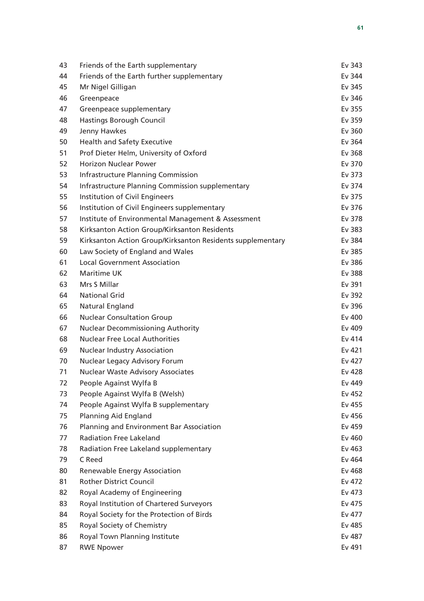| 43 | Friends of the Earth supplementary                         | Ev 343 |
|----|------------------------------------------------------------|--------|
| 44 | Friends of the Earth further supplementary                 | Ev 344 |
| 45 | Mr Nigel Gilligan                                          | Ev 345 |
| 46 | Greenpeace                                                 | Ev 346 |
| 47 | Greenpeace supplementary                                   | Ev 355 |
| 48 | <b>Hastings Borough Council</b>                            | Ev 359 |
| 49 | Jenny Hawkes                                               | Ev 360 |
| 50 | <b>Health and Safety Executive</b>                         | Ev 364 |
| 51 | Prof Dieter Helm, University of Oxford                     | Ev 368 |
| 52 | <b>Horizon Nuclear Power</b>                               | Ev 370 |
| 53 | <b>Infrastructure Planning Commission</b>                  | Ev 373 |
| 54 | Infrastructure Planning Commission supplementary           | Ev 374 |
| 55 | Institution of Civil Engineers                             | Ev 375 |
| 56 | Institution of Civil Engineers supplementary               | Ev 376 |
| 57 | Institute of Environmental Management & Assessment         | Ev 378 |
| 58 | Kirksanton Action Group/Kirksanton Residents               | Ev 383 |
| 59 | Kirksanton Action Group/Kirksanton Residents supplementary | Ev 384 |
| 60 | Law Society of England and Wales                           | Ev 385 |
| 61 | <b>Local Government Association</b>                        | Ev 386 |
| 62 | <b>Maritime UK</b>                                         | Ev 388 |
| 63 | Mrs S Millar                                               | Ev 391 |
| 64 | <b>National Grid</b>                                       | Ev 392 |
| 65 | Natural England                                            | Ev 396 |
| 66 | <b>Nuclear Consultation Group</b>                          | Ev 400 |
| 67 | <b>Nuclear Decommissioning Authority</b>                   | Ev 409 |
| 68 | <b>Nuclear Free Local Authorities</b>                      | Ev 414 |
| 69 | <b>Nuclear Industry Association</b>                        | Ev 421 |
| 70 | Nuclear Legacy Advisory Forum                              | Ev 427 |
| 71 | <b>Nuclear Waste Advisory Associates</b>                   | Ev 428 |
| 72 | People Against Wylfa B                                     | Ev 449 |
| 73 | People Against Wylfa B (Welsh)                             | Ev 452 |
| 74 | People Against Wylfa B supplementary                       | Ev 455 |
| 75 | <b>Planning Aid England</b>                                | Ev 456 |
| 76 | Planning and Environment Bar Association                   | Ev 459 |
| 77 | <b>Radiation Free Lakeland</b>                             | Ev 460 |
| 78 | Radiation Free Lakeland supplementary                      | Ev 463 |
| 79 | C Reed                                                     | Ev 464 |
| 80 | Renewable Energy Association                               | Ev 468 |
| 81 | <b>Rother District Council</b>                             | Ev 472 |
| 82 | Royal Academy of Engineering                               | Ev 473 |
| 83 | Royal Institution of Chartered Surveyors                   | Ev 475 |
| 84 | Royal Society for the Protection of Birds                  | Ev 477 |
| 85 | Royal Society of Chemistry                                 | Ev 485 |
| 86 | Royal Town Planning Institute                              | Ev 487 |
| 87 | <b>RWE Npower</b>                                          | Ev 491 |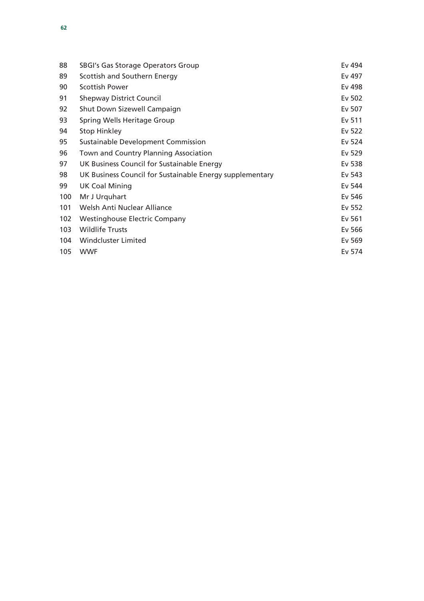| 88  | SBGI's Gas Storage Operators Group                       | Ev 494 |
|-----|----------------------------------------------------------|--------|
| 89  | Scottish and Southern Energy                             | Ev 497 |
| 90  | <b>Scottish Power</b>                                    | Ev 498 |
| 91  | <b>Shepway District Council</b>                          | Ev 502 |
| 92  | Shut Down Sizewell Campaign                              | Ev 507 |
| 93  | Spring Wells Heritage Group                              | Ev 511 |
| 94  | <b>Stop Hinkley</b>                                      | Ev 522 |
| 95  | Sustainable Development Commission                       | Ev 524 |
| 96  | Town and Country Planning Association                    | Ev 529 |
| 97  | UK Business Council for Sustainable Energy               | Ev 538 |
| 98  | UK Business Council for Sustainable Energy supplementary | Ev 543 |
| 99  | <b>UK Coal Mining</b>                                    | Ev 544 |
| 100 | Mr J Urquhart                                            | Ev 546 |
| 101 | Welsh Anti Nuclear Alliance                              | Ev 552 |
| 102 | <b>Westinghouse Electric Company</b>                     | Ev 561 |
| 103 | <b>Wildlife Trusts</b>                                   | Ev 566 |
| 104 | Windcluster Limited                                      | Ev 569 |
| 105 | <b>WWF</b>                                               | Ev 574 |